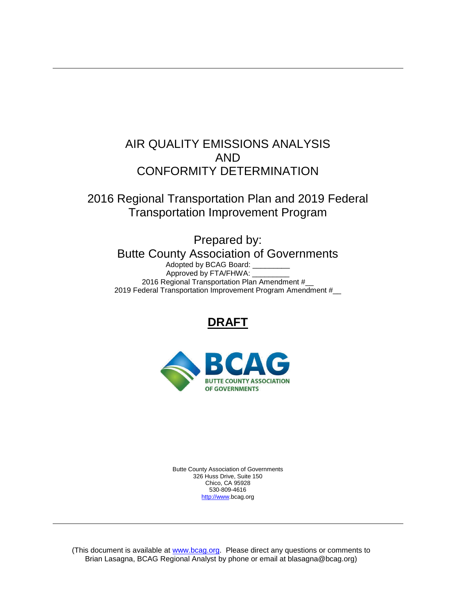# AIR QUALITY EMISSIONS ANALYSIS AND CONFORMITY DETERMINATION

2016 Regional Transportation Plan and 2019 Federal Transportation Improvement Program

> Prepared by: Butte County Association of Governments Adopted by BCAG Board:

Approved by FTA/FHWA: \_ 2016 Regional Transportation Plan Amendment #\_\_ 2019 Federal Transportation Improvement Program Amendment #\_

# **DRAFT**



Butte County Association of Governments 326 Huss Drive, Suite 150 Chico, CA 95928 530-809-4616 [http://www.](http://www/)bcag.org

(This document is available at [www.bcag.org.](http://www.bcag.oeg/) Please direct any questions or comments to Brian Lasagna, BCAG Regional Analyst by phone or email at blasagna@bcag.org)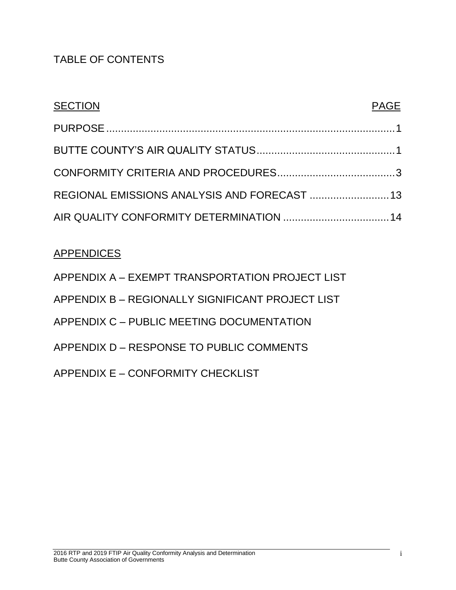# TABLE OF CONTENTS

| <b>SECTION</b>                               | <b>PAGE</b> |
|----------------------------------------------|-------------|
|                                              |             |
|                                              |             |
|                                              |             |
| REGIONAL EMISSIONS ANALYSIS AND FORECAST  13 |             |
| AIR QUALITY CONFORMITY DETERMINATION  14     |             |

# **APPENDICES**

<span id="page-1-0"></span>

| APPENDIX A - EXEMPT TRANSPORTATION PROJECT LIST  |
|--------------------------------------------------|
| APPENDIX B - REGIONALLY SIGNIFICANT PROJECT LIST |
| APPENDIX C - PUBLIC MEETING DOCUMENTATION        |
| APPENDIX D – RESPONSE TO PUBLIC COMMENTS         |
| APPENDIX E – CONFORMITY CHECKLIST                |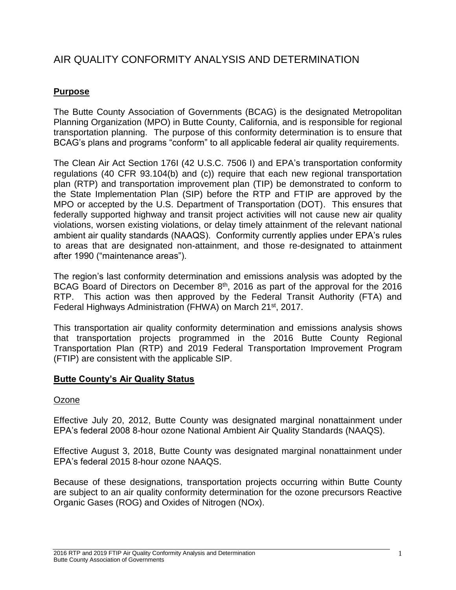# AIR QUALITY CONFORMITY ANALYSIS AND DETERMINATION

## **Purpose**

The Butte County Association of Governments (BCAG) is the designated Metropolitan Planning Organization (MPO) in Butte County, California, and is responsible for regional transportation planning. The purpose of this conformity determination is to ensure that BCAG's plans and programs "conform" to all applicable federal air quality requirements.

The Clean Air Act Section 176I (42 U.S.C. 7506 I) and EPA's transportation conformity regulations (40 CFR 93.104(b) and (c)) require that each new regional transportation plan (RTP) and transportation improvement plan (TIP) be demonstrated to conform to the State Implementation Plan (SIP) before the RTP and FTIP are approved by the MPO or accepted by the U.S. Department of Transportation (DOT). This ensures that federally supported highway and transit project activities will not cause new air quality violations, worsen existing violations, or delay timely attainment of the relevant national ambient air quality standards (NAAQS). Conformity currently applies under EPA's rules to areas that are designated non-attainment, and those re-designated to attainment after 1990 ("maintenance areas").

The region's last conformity determination and emissions analysis was adopted by the BCAG Board of Directors on December 8th, 2016 as part of the approval for the 2016 RTP. This action was then approved by the Federal Transit Authority (FTA) and Federal Highways Administration (FHWA) on March 21<sup>st</sup>, 2017.

This transportation air quality conformity determination and emissions analysis shows that transportation projects programmed in the 2016 Butte County Regional Transportation Plan (RTP) and 2019 Federal Transportation Improvement Program (FTIP) are consistent with the applicable SIP.

### <span id="page-2-0"></span>**Butte County's Air Quality Status**

#### **Ozone**

Effective July 20, 2012, Butte County was designated marginal nonattainment under EPA's federal 2008 8-hour ozone National Ambient Air Quality Standards (NAAQS).

Effective August 3, 2018, Butte County was designated marginal nonattainment under EPA's federal 2015 8-hour ozone NAAQS.

Because of these designations, transportation projects occurring within Butte County are subject to an air quality conformity determination for the ozone precursors Reactive Organic Gases (ROG) and Oxides of Nitrogen (NOx).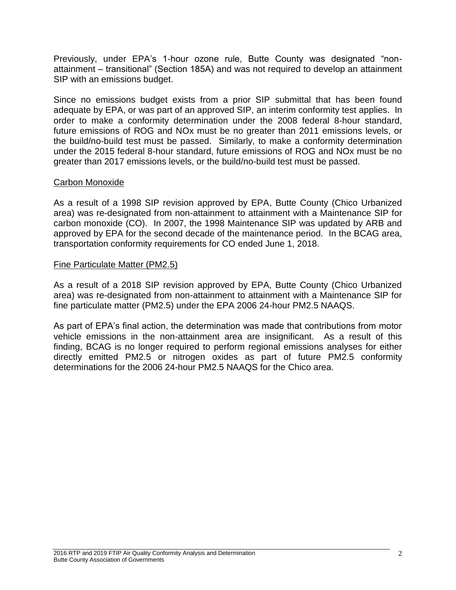Previously, under EPA's 1-hour ozone rule, Butte County was designated "nonattainment – transitional" (Section 185A) and was not required to develop an attainment SIP with an emissions budget.

Since no emissions budget exists from a prior SIP submittal that has been found adequate by EPA, or was part of an approved SIP, an interim conformity test applies. In order to make a conformity determination under the 2008 federal 8-hour standard, future emissions of ROG and NOx must be no greater than 2011 emissions levels, or the build/no-build test must be passed. Similarly, to make a conformity determination under the 2015 federal 8-hour standard, future emissions of ROG and NOx must be no greater than 2017 emissions levels, or the build/no-build test must be passed.

#### Carbon Monoxide

As a result of a 1998 SIP revision approved by EPA, Butte County (Chico Urbanized area) was re-designated from non-attainment to attainment with a Maintenance SIP for carbon monoxide (CO). In 2007, the 1998 Maintenance SIP was updated by ARB and approved by EPA for the second decade of the maintenance period. In the BCAG area, transportation conformity requirements for CO ended June 1, 2018.

#### Fine Particulate Matter (PM2.5)

As a result of a 2018 SIP revision approved by EPA, Butte County (Chico Urbanized area) was re-designated from non-attainment to attainment with a Maintenance SIP for fine particulate matter (PM2.5) under the EPA 2006 24-hour PM2.5 NAAQS.

<span id="page-3-0"></span>As part of EPA's final action, the determination was made that contributions from motor vehicle emissions in the non-attainment area are insignificant. As a result of this finding, BCAG is no longer required to perform regional emissions analyses for either directly emitted PM2.5 or nitrogen oxides as part of future PM2.5 conformity determinations for the 2006 24-hour PM2.5 NAAQS for the Chico area.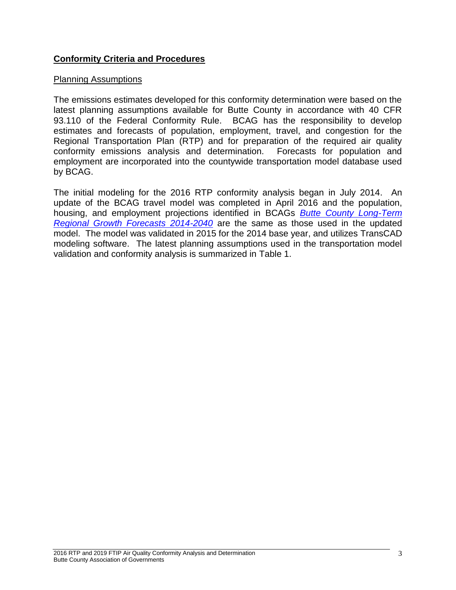### **Conformity Criteria and Procedures**

#### Planning Assumptions

The emissions estimates developed for this conformity determination were based on the latest planning assumptions available for Butte County in accordance with 40 CFR 93.110 of the Federal Conformity Rule. BCAG has the responsibility to develop estimates and forecasts of population, employment, travel, and congestion for the Regional Transportation Plan (RTP) and for preparation of the required air quality conformity emissions analysis and determination. Forecasts for population and employment are incorporated into the countywide transportation model database used by BCAG.

The initial modeling for the 2016 RTP conformity analysis began in July 2014. An update of the BCAG travel model was completed in April 2016 and the population, housing, and employment projections identified in BCAGs *[Butte County Long-Term](http://www.bcag.org/documents/demographics/pop_emp_projections/Growth_Forecasts_2014-2040_draft.pdf)  [Regional Growth Forecasts 2014-2040](http://www.bcag.org/documents/demographics/pop_emp_projections/Growth_Forecasts_2014-2040_draft.pdf)* are the same as those used in the updated model. The model was validated in 2015 for the 2014 base year, and utilizes TransCAD modeling software. The latest planning assumptions used in the transportation model validation and conformity analysis is summarized in Table 1.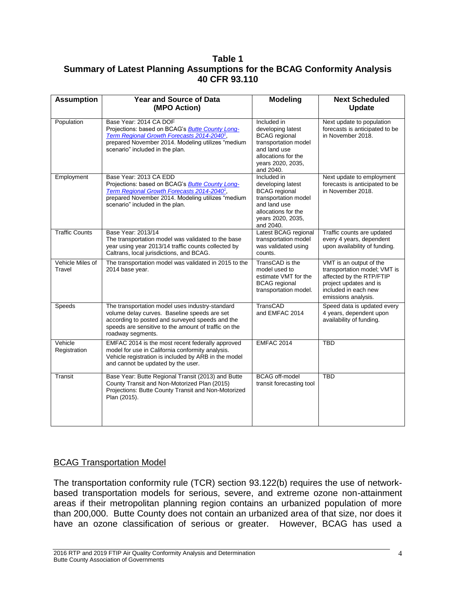#### **Table 1 Summary of Latest Planning Assumptions for the BCAG Conformity Analysis 40 CFR 93.110**

| <b>Assumption</b>          | <b>Year and Source of Data</b><br>(MPO Action)                                                                                                                                                                                      | <b>Modeling</b>                                                                                                                                           | <b>Next Scheduled</b><br><b>Update</b>                                                                                                                       |
|----------------------------|-------------------------------------------------------------------------------------------------------------------------------------------------------------------------------------------------------------------------------------|-----------------------------------------------------------------------------------------------------------------------------------------------------------|--------------------------------------------------------------------------------------------------------------------------------------------------------------|
| Population                 | Base Year: 2014 CA DOF<br>Projections: based on BCAG's <b>Butte County Long-</b><br>Term Regional Growth Forecasts 2014-2040 <sup>1</sup> ,<br>prepared November 2014. Modeling utilizes "medium<br>scenario" included in the plan. | Included in<br>developing latest<br><b>BCAG</b> regional<br>transportation model<br>and land use<br>allocations for the<br>years 2020, 2035,<br>and 2040. | Next update to population<br>forecasts is anticipated to be<br>in November 2018.                                                                             |
| Employment                 | Base Year: 2013 CA EDD<br>Projections: based on BCAG's <b>Butte County Long-</b><br>Term Regional Growth Forecasts 2014-2040 <sup>1</sup> ,<br>prepared November 2014. Modeling utilizes "medium<br>scenario" included in the plan. | Included in<br>developing latest<br><b>BCAG</b> regional<br>transportation model<br>and land use<br>allocations for the<br>years 2020, 2035,<br>and 2040. | Next update to employment<br>forecasts is anticipated to be<br>in November 2018.                                                                             |
| <b>Traffic Counts</b>      | Base Year: 2013/14<br>The transportation model was validated to the base<br>year using year 2013/14 traffic counts collected by<br>Caltrans, local jurisdictions, and BCAG.                                                         | Latest BCAG regional<br>transportation model<br>was validated using<br>counts.                                                                            | Traffic counts are updated<br>every 4 years, dependent<br>upon availability of funding.                                                                      |
| Vehicle Miles of<br>Travel | The transportation model was validated in 2015 to the<br>2014 base year.                                                                                                                                                            | TransCAD is the<br>model used to<br>estimate VMT for the<br><b>BCAG</b> regional<br>transportation model.                                                 | VMT is an output of the<br>transportation model; VMT is<br>affected by the RTP/FTIP<br>project updates and is<br>included in each new<br>emissions analysis. |
| Speeds                     | The transportation model uses industry-standard<br>volume delay curves. Baseline speeds are set<br>according to posted and surveyed speeds and the<br>speeds are sensitive to the amount of traffic on the<br>roadway segments.     | TransCAD<br>and EMFAC 2014                                                                                                                                | Speed data is updated every<br>4 years, dependent upon<br>availability of funding.                                                                           |
| Vehicle<br>Registration    | EMFAC 2014 is the most recent federally approved<br>model for use in California conformity analysis.<br>Vehicle registration is included by ARB in the model<br>and cannot be updated by the user.                                  | <b>EMFAC 2014</b>                                                                                                                                         | <b>TBD</b>                                                                                                                                                   |
| Transit                    | Base Year: Butte Regional Transit (2013) and Butte<br>County Transit and Non-Motorized Plan (2015)<br>Projections: Butte County Transit and Non-Motorized<br>Plan (2015).                                                           | <b>BCAG</b> off-model<br>transit forecasting tool                                                                                                         | <b>TBD</b>                                                                                                                                                   |

### BCAG Transportation Model

The transportation conformity rule (TCR) section 93.122(b) requires the use of networkbased transportation models for serious, severe, and extreme ozone non-attainment areas if their metropolitan planning region contains an urbanized population of more than 200,000. Butte County does not contain an urbanized area of that size, nor does it have an ozone classification of serious or greater. However, BCAG has used a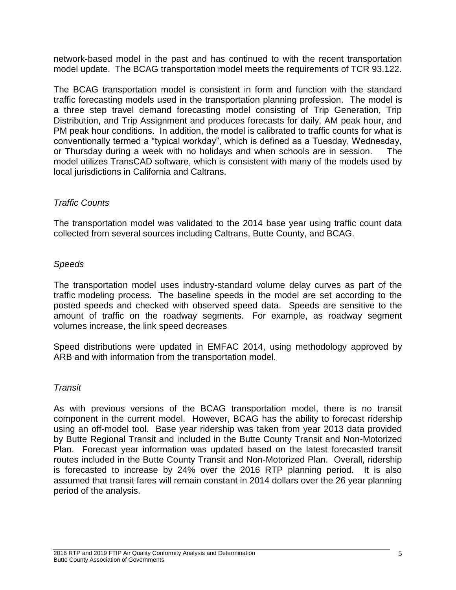network-based model in the past and has continued to with the recent transportation model update. The BCAG transportation model meets the requirements of TCR 93.122.

The BCAG transportation model is consistent in form and function with the standard traffic forecasting models used in the transportation planning profession. The model is a three step travel demand forecasting model consisting of Trip Generation, Trip Distribution, and Trip Assignment and produces forecasts for daily, AM peak hour, and PM peak hour conditions. In addition, the model is calibrated to traffic counts for what is conventionally termed a "typical workday", which is defined as a Tuesday, Wednesday, or Thursday during a week with no holidays and when schools are in session. The model utilizes TransCAD software, which is consistent with many of the models used by local jurisdictions in California and Caltrans.

#### *Traffic Counts*

The transportation model was validated to the 2014 base year using traffic count data collected from several sources including Caltrans, Butte County, and BCAG.

#### *Speeds*

The transportation model uses industry-standard volume delay curves as part of the traffic modeling process. The baseline speeds in the model are set according to the posted speeds and checked with observed speed data. Speeds are sensitive to the amount of traffic on the roadway segments. For example, as roadway segment volumes increase, the link speed decreases

Speed distributions were updated in EMFAC 2014, using methodology approved by ARB and with information from the transportation model.

#### *Transit*

As with previous versions of the BCAG transportation model, there is no transit component in the current model. However, BCAG has the ability to forecast ridership using an off-model tool. Base year ridership was taken from year 2013 data provided by Butte Regional Transit and included in the Butte County Transit and Non-Motorized Plan. Forecast year information was updated based on the latest forecasted transit routes included in the Butte County Transit and Non-Motorized Plan. Overall, ridership is forecasted to increase by 24% over the 2016 RTP planning period. It is also assumed that transit fares will remain constant in 2014 dollars over the 26 year planning period of the analysis.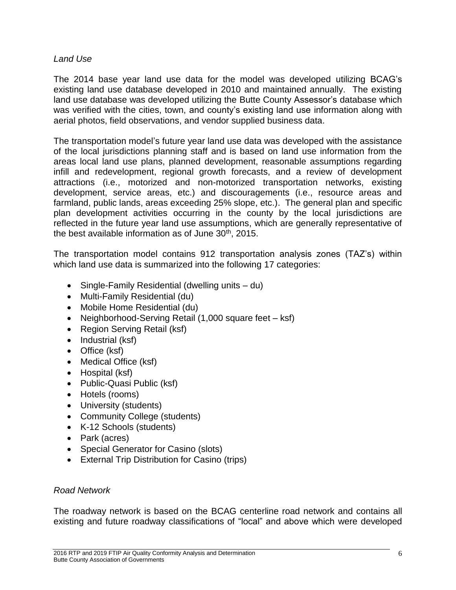#### *Land Use*

The 2014 base year land use data for the model was developed utilizing BCAG's existing land use database developed in 2010 and maintained annually. The existing land use database was developed utilizing the Butte County Assessor's database which was verified with the cities, town, and county's existing land use information along with aerial photos, field observations, and vendor supplied business data.

The transportation model's future year land use data was developed with the assistance of the local jurisdictions planning staff and is based on land use information from the areas local land use plans, planned development, reasonable assumptions regarding infill and redevelopment, regional growth forecasts, and a review of development attractions (i.e., motorized and non-motorized transportation networks, existing development, service areas, etc.) and discouragements (i.e., resource areas and farmland, public lands, areas exceeding 25% slope, etc.). The general plan and specific plan development activities occurring in the county by the local jurisdictions are reflected in the future year land use assumptions, which are generally representative of the best available information as of June 30<sup>th</sup>, 2015.

The transportation model contains 912 transportation analysis zones (TAZ's) within which land use data is summarized into the following 17 categories:

- Single-Family Residential (dwelling units du)
- Multi-Family Residential (du)
- Mobile Home Residential (du)
- Neighborhood-Serving Retail (1,000 square feet ksf)
- Region Serving Retail (ksf)
- $\bullet$  Industrial (ksf)
- Office (ksf)
- Medical Office (ksf)
- Hospital (ksf)
- Public-Quasi Public (ksf)
- Hotels (rooms)
- University (students)
- Community College (students)
- K-12 Schools (students)
- Park (acres)
- Special Generator for Casino (slots)
- External Trip Distribution for Casino (trips)

#### *Road Network*

The roadway network is based on the BCAG centerline road network and contains all existing and future roadway classifications of "local" and above which were developed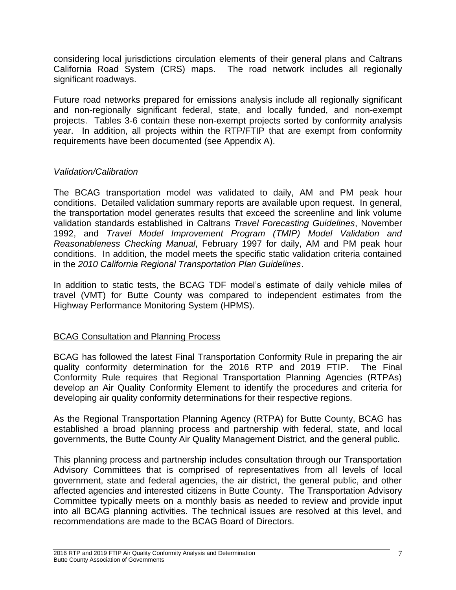considering local jurisdictions circulation elements of their general plans and Caltrans California Road System (CRS) maps. The road network includes all regionally significant roadways.

Future road networks prepared for emissions analysis include all regionally significant and non-regionally significant federal, state, and locally funded, and non-exempt projects. Tables 3-6 contain these non-exempt projects sorted by conformity analysis year. In addition, all projects within the RTP/FTIP that are exempt from conformity requirements have been documented (see Appendix A).

### *Validation/Calibration*

The BCAG transportation model was validated to daily, AM and PM peak hour conditions. Detailed validation summary reports are available upon request. In general, the transportation model generates results that exceed the screenline and link volume validation standards established in Caltrans *Travel Forecasting Guidelines*, November 1992, and *Travel Model Improvement Program (TMIP) Model Validation and Reasonableness Checking Manual*, February 1997 for daily, AM and PM peak hour conditions. In addition, the model meets the specific static validation criteria contained in the *2010 California Regional Transportation Plan Guidelines*.

In addition to static tests, the BCAG TDF model's estimate of daily vehicle miles of travel (VMT) for Butte County was compared to independent estimates from the Highway Performance Monitoring System (HPMS).

### BCAG Consultation and Planning Process

BCAG has followed the latest Final Transportation Conformity Rule in preparing the air quality conformity determination for the 2016 RTP and 2019 FTIP. The Final Conformity Rule requires that Regional Transportation Planning Agencies (RTPAs) develop an Air Quality Conformity Element to identify the procedures and criteria for developing air quality conformity determinations for their respective regions.

As the Regional Transportation Planning Agency (RTPA) for Butte County, BCAG has established a broad planning process and partnership with federal, state, and local governments, the Butte County Air Quality Management District, and the general public.

This planning process and partnership includes consultation through our Transportation Advisory Committees that is comprised of representatives from all levels of local government, state and federal agencies, the air district, the general public, and other affected agencies and interested citizens in Butte County. The Transportation Advisory Committee typically meets on a monthly basis as needed to review and provide input into all BCAG planning activities. The technical issues are resolved at this level, and recommendations are made to the BCAG Board of Directors.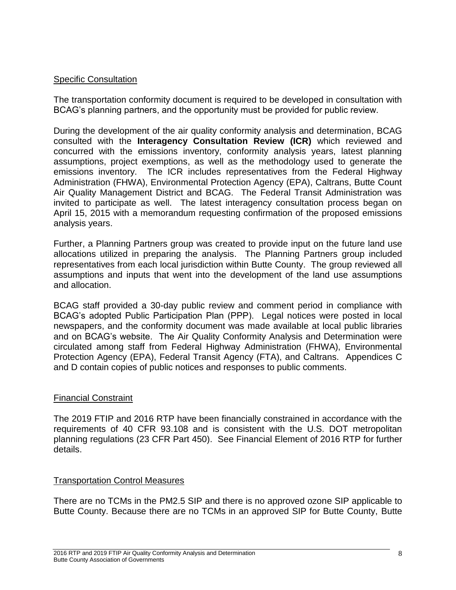#### Specific Consultation

The transportation conformity document is required to be developed in consultation with BCAG's planning partners, and the opportunity must be provided for public review.

During the development of the air quality conformity analysis and determination, BCAG consulted with the **Interagency Consultation Review (ICR)** which reviewed and concurred with the emissions inventory, conformity analysis years, latest planning assumptions, project exemptions, as well as the methodology used to generate the emissions inventory. The ICR includes representatives from the Federal Highway Administration (FHWA), Environmental Protection Agency (EPA), Caltrans, Butte Count Air Quality Management District and BCAG. The Federal Transit Administration was invited to participate as well. The latest interagency consultation process began on April 15, 2015 with a memorandum requesting confirmation of the proposed emissions analysis years.

Further, a Planning Partners group was created to provide input on the future land use allocations utilized in preparing the analysis. The Planning Partners group included representatives from each local jurisdiction within Butte County. The group reviewed all assumptions and inputs that went into the development of the land use assumptions and allocation.

BCAG staff provided a 30-day public review and comment period in compliance with BCAG's adopted Public Participation Plan (PPP). Legal notices were posted in local newspapers, and the conformity document was made available at local public libraries and on BCAG's website. The Air Quality Conformity Analysis and Determination were circulated among staff from Federal Highway Administration (FHWA), Environmental Protection Agency (EPA), Federal Transit Agency (FTA), and Caltrans. Appendices C and D contain copies of public notices and responses to public comments.

#### Financial Constraint

The 2019 FTIP and 2016 RTP have been financially constrained in accordance with the requirements of 40 CFR 93.108 and is consistent with the U.S. DOT metropolitan planning regulations (23 CFR Part 450). See Financial Element of 2016 RTP for further details.

#### Transportation Control Measures

There are no TCMs in the PM2.5 SIP and there is no approved ozone SIP applicable to Butte County. Because there are no TCMs in an approved SIP for Butte County, Butte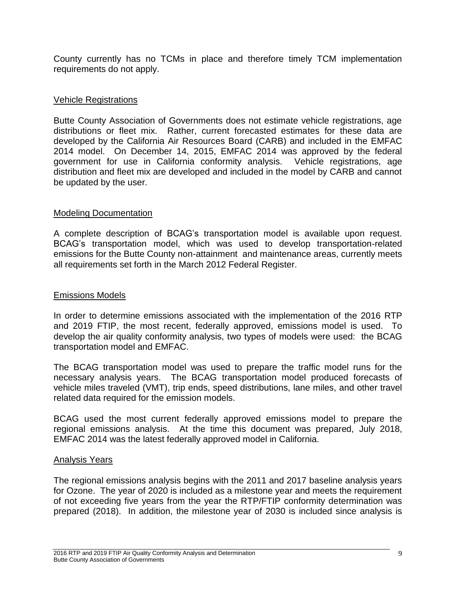County currently has no TCMs in place and therefore timely TCM implementation requirements do not apply.

#### Vehicle Registrations

Butte County Association of Governments does not estimate vehicle registrations, age distributions or fleet mix. Rather, current forecasted estimates for these data are developed by the California Air Resources Board (CARB) and included in the EMFAC 2014 model. On December 14, 2015, EMFAC 2014 was approved by the federal government for use in California conformity analysis. Vehicle registrations, age distribution and fleet mix are developed and included in the model by CARB and cannot be updated by the user.

#### Modeling Documentation

A complete description of BCAG's transportation model is available upon request. BCAG's transportation model, which was used to develop transportation-related emissions for the Butte County non-attainment and maintenance areas, currently meets all requirements set forth in the March 2012 Federal Register.

#### Emissions Models

In order to determine emissions associated with the implementation of the 2016 RTP and 2019 FTIP, the most recent, federally approved, emissions model is used. To develop the air quality conformity analysis, two types of models were used: the BCAG transportation model and EMFAC.

The BCAG transportation model was used to prepare the traffic model runs for the necessary analysis years. The BCAG transportation model produced forecasts of vehicle miles traveled (VMT), trip ends, speed distributions, lane miles, and other travel related data required for the emission models.

BCAG used the most current federally approved emissions model to prepare the regional emissions analysis. At the time this document was prepared, July 2018, EMFAC 2014 was the latest federally approved model in California.

#### Analysis Years

The regional emissions analysis begins with the 2011 and 2017 baseline analysis years for Ozone. The year of 2020 is included as a milestone year and meets the requirement of not exceeding five years from the year the RTP/FTIP conformity determination was prepared (2018). In addition, the milestone year of 2030 is included since analysis is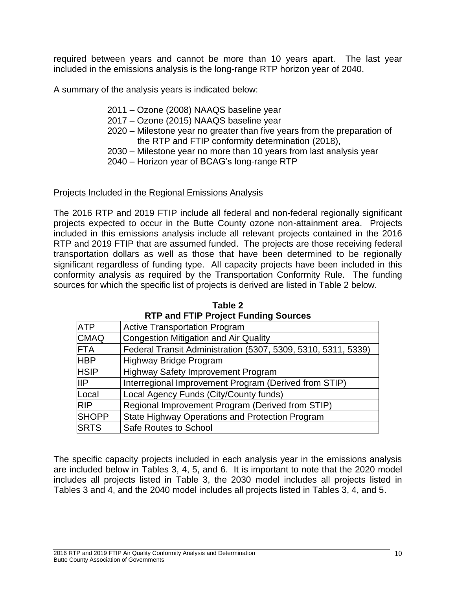required between years and cannot be more than 10 years apart. The last year included in the emissions analysis is the long-range RTP horizon year of 2040.

A summary of the analysis years is indicated below:

- 2011 Ozone (2008) NAAQS baseline year
- 2017 Ozone (2015) NAAQS baseline year
- 2020 Milestone year no greater than five years from the preparation of the RTP and FTIP conformity determination (2018),
- 2030 Milestone year no more than 10 years from last analysis year
- 2040 Horizon year of BCAG's long-range RTP

#### Projects Included in the Regional Emissions Analysis

The 2016 RTP and 2019 FTIP include all federal and non-federal regionally significant projects expected to occur in the Butte County ozone non-attainment area. Projects included in this emissions analysis include all relevant projects contained in the 2016 RTP and 2019 FTIP that are assumed funded. The projects are those receiving federal transportation dollars as well as those that have been determined to be regionally significant regardless of funding type. All capacity projects have been included in this conformity analysis as required by the Transportation Conformity Rule. The funding sources for which the specific list of projects is derived are listed in Table 2 below.

|              | $111$ and $111$ $110$ $000$ $1$ and $11$ $9$ $000$ $000$      |
|--------------|---------------------------------------------------------------|
| <b>ATP</b>   | <b>Active Transportation Program</b>                          |
| <b>CMAQ</b>  | <b>Congestion Mitigation and Air Quality</b>                  |
| <b>FTA</b>   | Federal Transit Administration (5307, 5309, 5310, 5311, 5339) |
| <b>HBP</b>   | <b>Highway Bridge Program</b>                                 |
| <b>HSIP</b>  | <b>Highway Safety Improvement Program</b>                     |
| <b>IIP</b>   | Interregional Improvement Program (Derived from STIP)         |
| Local        | Local Agency Funds (City/County funds)                        |
| <b>RIP</b>   | Regional Improvement Program (Derived from STIP)              |
| <b>SHOPP</b> | State Highway Operations and Protection Program               |
| <b>SRTS</b>  | Safe Routes to School                                         |

**Table 2 RTP and FTIP Project Funding Sources**

The specific capacity projects included in each analysis year in the emissions analysis are included below in Tables 3, 4, 5, and 6. It is important to note that the 2020 model includes all projects listed in Table 3, the 2030 model includes all projects listed in Tables 3 and 4, and the 2040 model includes all projects listed in Tables 3, 4, and 5.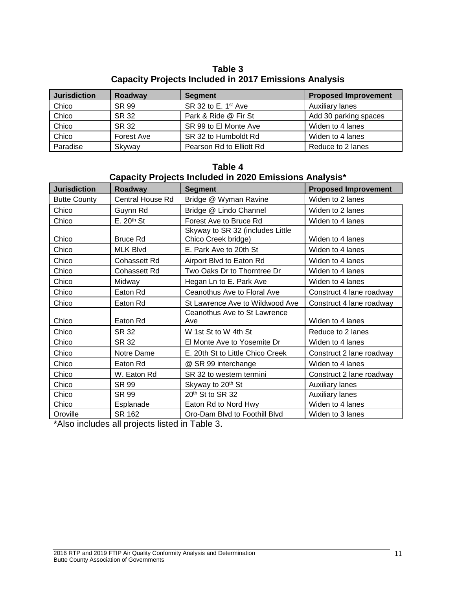**Table 3 Capacity Projects Included in 2017 Emissions Analysis**

| <b>Jurisdiction</b> | Roadway    | <b>Segment</b>                  | <b>Proposed Improvement</b> |
|---------------------|------------|---------------------------------|-----------------------------|
| Chico               | SR 99      | SR 32 to E. 1 <sup>st</sup> Ave | <b>Auxiliary lanes</b>      |
| Chico               | SR 32      | Park & Ride @ Fir St            | Add 30 parking spaces       |
| Chico               | SR 32      | SR 99 to El Monte Ave           | Widen to 4 lanes            |
| Chico               | Forest Ave | SR 32 to Humboldt Rd            | Widen to 4 lanes            |
| Paradise            | Skyway     | Pearson Rd to Elliott Rd        | Reduce to 2 lanes           |

| Capacity Projects Included in 2020 Emissions Analysis* |                                                          |                                                         |                          |  |  |  |  |
|--------------------------------------------------------|----------------------------------------------------------|---------------------------------------------------------|--------------------------|--|--|--|--|
| <b>Jurisdiction</b>                                    | <b>Segment</b><br><b>Proposed Improvement</b><br>Roadway |                                                         |                          |  |  |  |  |
| <b>Butte County</b>                                    | <b>Central House Rd</b>                                  | Bridge @ Wyman Ravine                                   | Widen to 2 lanes         |  |  |  |  |
| Chico                                                  | Guynn Rd                                                 | Bridge @ Lindo Channel                                  | Widen to 2 lanes         |  |  |  |  |
| Chico                                                  | $E. 20th$ St                                             | Forest Ave to Bruce Rd                                  | Widen to 4 lanes         |  |  |  |  |
| Chico                                                  | <b>Bruce Rd</b>                                          | Skyway to SR 32 (includes Little<br>Chico Creek bridge) | Widen to 4 lanes         |  |  |  |  |
| Chico                                                  | <b>MLK Blvd</b>                                          | E. Park Ave to 20th St                                  | Widen to 4 lanes         |  |  |  |  |
| Chico                                                  | Cohassett Rd                                             | Airport Blvd to Eaton Rd                                | Widen to 4 lanes         |  |  |  |  |
| Chico                                                  | <b>Cohassett Rd</b>                                      | Two Oaks Dr to Thorntree Dr                             | Widen to 4 lanes         |  |  |  |  |
| Chico                                                  | Midway                                                   | Hegan Ln to E. Park Ave                                 | Widen to 4 lanes         |  |  |  |  |
| Chico                                                  | Eaton Rd                                                 | Ceanothus Ave to Floral Ave                             | Construct 4 lane roadway |  |  |  |  |
| Chico                                                  | Eaton Rd                                                 | St Lawrence Ave to Wildwood Ave                         | Construct 4 lane roadway |  |  |  |  |
| Chico                                                  | Eaton Rd                                                 | Ceanothus Ave to St Lawrence<br>Ave                     | Widen to 4 lanes         |  |  |  |  |
| Chico                                                  | <b>SR 32</b>                                             | W 1st St to W 4th St                                    | Reduce to 2 lanes        |  |  |  |  |
| Chico                                                  | SR 32                                                    | El Monte Ave to Yosemite Dr                             | Widen to 4 lanes         |  |  |  |  |
| Chico                                                  | Notre Dame                                               | E. 20th St to Little Chico Creek                        | Construct 2 lane roadway |  |  |  |  |
| Chico                                                  | Eaton Rd                                                 | @ SR 99 interchange                                     | Widen to 4 lanes         |  |  |  |  |
| Chico                                                  | W. Eaton Rd                                              | SR 32 to western termini                                | Construct 2 lane roadway |  |  |  |  |
| Chico                                                  | SR 99                                                    | Skyway to 20 <sup>th</sup> St                           | Auxiliary lanes          |  |  |  |  |
| Chico                                                  | SR 99                                                    | 20 <sup>th</sup> St to SR 32                            | <b>Auxiliary lanes</b>   |  |  |  |  |
| Chico                                                  | Esplanade                                                | Eaton Rd to Nord Hwy                                    | Widen to 4 lanes         |  |  |  |  |
| Oroville                                               | SR 162                                                   | Oro-Dam Blvd to Foothill Blvd                           | Widen to 3 lanes         |  |  |  |  |

**Table 4**

\*Also includes all projects listed in Table 3.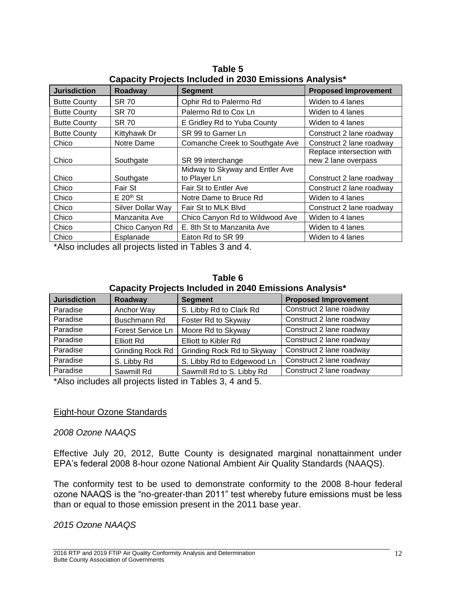| Capacity I Tujects included in 2000 Linissions Analysis |                   |                                 |                             |  |  |
|---------------------------------------------------------|-------------------|---------------------------------|-----------------------------|--|--|
| <b>Jurisdiction</b>                                     | Roadway           | <b>Segment</b>                  | <b>Proposed Improvement</b> |  |  |
| <b>Butte County</b>                                     | <b>SR 70</b>      | Ophir Rd to Palermo Rd          | Widen to 4 lanes            |  |  |
| <b>Butte County</b>                                     | <b>SR 70</b>      | Palermo Rd to Cox Ln            | Widen to 4 lanes            |  |  |
| <b>Butte County</b>                                     | <b>SR 70</b>      | E Gridley Rd to Yuba County     | Widen to 4 lanes            |  |  |
| <b>Butte County</b>                                     | Kittyhawk Dr      | SR 99 to Garner Ln              | Construct 2 lane roadway    |  |  |
| Chico                                                   | Notre Dame        | Comanche Creek to Southgate Ave | Construct 2 lane roadway    |  |  |
|                                                         |                   |                                 | Replace intersection with   |  |  |
| Chico                                                   | Southgate         | SR 99 interchange               | new 2 lane overpass         |  |  |
|                                                         |                   | Midway to Skyway and Entler Ave |                             |  |  |
| Chico                                                   | Southgate         | to Player Ln                    | Construct 2 lane roadway    |  |  |
| Chico                                                   | Fair St           | Fair St to Entler Ave           | Construct 2 lane roadway    |  |  |
| Chico                                                   | $E 20th$ St       | Notre Dame to Bruce Rd          | Widen to 4 lanes            |  |  |
| Chico                                                   | Silver Dollar Way | Fair St to MLK Blvd             | Construct 2 lane roadway    |  |  |
| Chico                                                   | Manzanita Ave     | Chico Canyon Rd to Wildwood Ave | Widen to 4 lanes            |  |  |
| Chico                                                   | Chico Canyon Rd   | E. 8th St to Manzanita Ave      | Widen to 4 lanes            |  |  |
| Chico                                                   | Esplanade         | Eaton Rd to SR 99               | Widen to 4 lanes            |  |  |

**Table 5 Capacity Projects Included in 2030 Emissions Analysis\***

\*Also includes all projects listed in Tables 3 and 4.

| Table 6                                                |  |
|--------------------------------------------------------|--|
| Capacity Projects Included in 2040 Emissions Analysis* |  |

| <b>Jurisdiction</b> | Roadway           | <b>Segment</b>              | <b>Proposed Improvement</b> |
|---------------------|-------------------|-----------------------------|-----------------------------|
| Paradise            | Anchor Way        | S. Libby Rd to Clark Rd     | Construct 2 lane roadway    |
| Paradise            | Buschmann Rd      | Foster Rd to Skyway         | Construct 2 lane roadway    |
| Paradise            | Forest Service Ln | Moore Rd to Skyway          | Construct 2 lane roadway    |
| Paradise            | <b>Elliott Rd</b> | <b>Elliott to Kibler Rd</b> | Construct 2 lane roadway    |
| Paradise            | Grinding Rock Rd  | Grinding Rock Rd to Skyway  | Construct 2 lane roadway    |
| Paradise            | S. Libby Rd       | S. Libby Rd to Edgewood Ln  | Construct 2 lane roadway    |
| Paradise            | Sawmill Rd        | Sawmill Rd to S. Libby Rd   | Construct 2 lane roadway    |

\*Also includes all projects listed in Tables 3, 4 and 5.

#### Eight-hour Ozone Standards

#### *2008 Ozone NAAQS*

Effective July 20, 2012, Butte County is designated marginal nonattainment under EPA's federal 2008 8-hour ozone National Ambient Air Quality Standards (NAAQS).

The conformity test to be used to demonstrate conformity to the 2008 8-hour federal ozone NAAQS is the "no-greater-than 2011" test whereby future emissions must be less than or equal to those emission present in the 2011 base year.

*2015 Ozone NAAQS*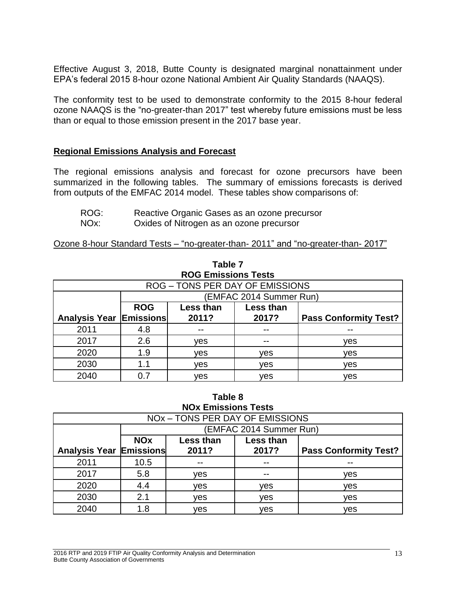Effective August 3, 2018, Butte County is designated marginal nonattainment under EPA's federal 2015 8-hour ozone National Ambient Air Quality Standards (NAAQS).

The conformity test to be used to demonstrate conformity to the 2015 8-hour federal ozone NAAQS is the "no-greater-than 2017" test whereby future emissions must be less than or equal to those emission present in the 2017 base year.

#### <span id="page-14-0"></span>**Regional Emissions Analysis and Forecast**

The regional emissions analysis and forecast for ozone precursors have been summarized in the following tables. The summary of emissions forecasts is derived from outputs of the EMFAC 2014 model. These tables show comparisons of:

- ROG: Reactive Organic Gases as an ozone precursor
- NOx: Oxides of Nitrogen as an ozone precursor

Ozone 8-hour Standard Tests – "no-greater-than- 2011" and "no-greater-than- 2017"

| <b>ROG Emissions Tests</b>     |                                                |                                        |                         |     |  |
|--------------------------------|------------------------------------------------|----------------------------------------|-------------------------|-----|--|
|                                |                                                | <b>ROG - TONS PER DAY OF EMISSIONS</b> |                         |     |  |
|                                |                                                |                                        | (EMFAC 2014 Summer Run) |     |  |
|                                | <b>ROG</b>                                     | Less than                              | Less than               |     |  |
| <b>Analysis Year Emissions</b> | 2011?<br>2017?<br><b>Pass Conformity Test?</b> |                                        |                         |     |  |
| 2011                           | 4.8                                            |                                        |                         |     |  |
| 2017                           | 2.6                                            | ves                                    |                         | ves |  |
| 2020                           | 1.9                                            | ves                                    | ves                     | yes |  |
| 2030                           | 1.1                                            | ves                                    | ves                     | ves |  |
| 2040                           | 0 7                                            | ves                                    | ves                     | ves |  |

**Table 7**

**Table 8 NOx Emissions Tests**

<span id="page-14-1"></span>

| NO <sub>x</sub> - TONS PER DAY OF EMISSIONS |                       |                         |           |                              |  |  |
|---------------------------------------------|-----------------------|-------------------------|-----------|------------------------------|--|--|
|                                             |                       | (EMFAC 2014 Summer Run) |           |                              |  |  |
|                                             | <b>NO<sub>x</sub></b> | Less than               | Less than |                              |  |  |
| <b>Analysis Year Emissions</b>              |                       | 2011?                   | 2017?     | <b>Pass Conformity Test?</b> |  |  |
| 2011                                        | 10.5                  |                         |           |                              |  |  |
| 2017                                        | 5.8                   | yes                     | --        | yes                          |  |  |
| 2020                                        | 4.4                   | ves                     | ves       | ves                          |  |  |
| 2030                                        | 2.1                   | ves                     | ves       | ves                          |  |  |
| 2040                                        | 1.8                   | ves                     | ves       | ves                          |  |  |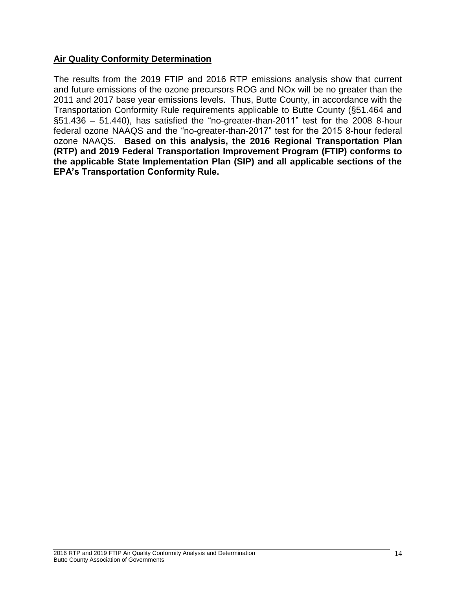#### **Air Quality Conformity Determination**

The results from the 2019 FTIP and 2016 RTP emissions analysis show that current and future emissions of the ozone precursors ROG and NOx will be no greater than the 2011 and 2017 base year emissions levels. Thus, Butte County, in accordance with the Transportation Conformity Rule requirements applicable to Butte County (§51.464 and §51.436 – 51.440), has satisfied the "no-greater-than-2011" test for the 2008 8-hour federal ozone NAAQS and the "no-greater-than-2017" test for the 2015 8-hour federal ozone NAAQS. **Based on this analysis, the 2016 Regional Transportation Plan (RTP) and 2019 Federal Transportation Improvement Program (FTIP) conforms to the applicable State Implementation Plan (SIP) and all applicable sections of the EPA's Transportation Conformity Rule.**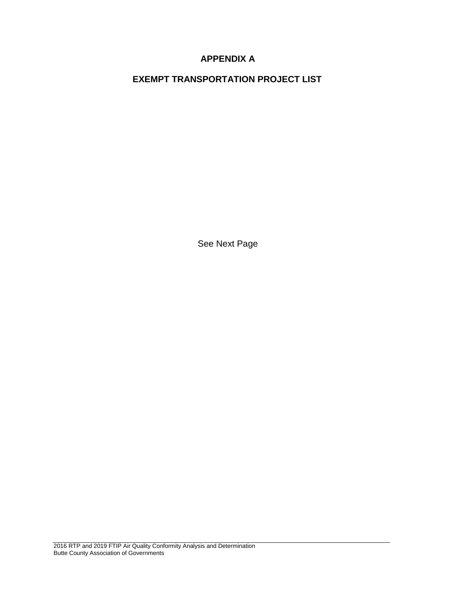## **APPENDIX A**

**EXEMPT TRANSPORTATION PROJECT LIST**

See Next Page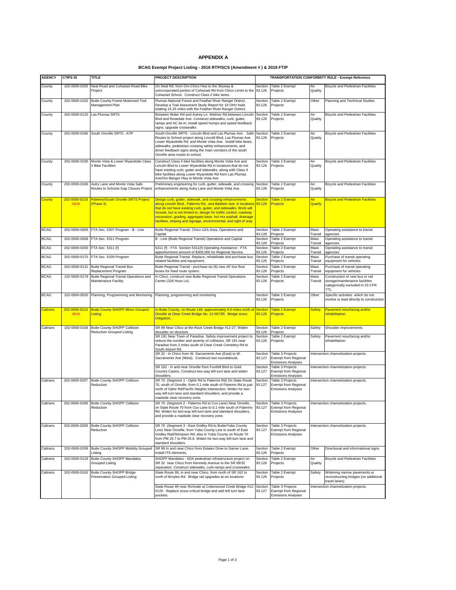#### **APPENDIX A**

#### **BCAG Exempt Project Listing - 2016 RTP/SCS (Amendment # ) & 2019 FTIP**

| <b>AGENCY</b>   | <b>CTIPS ID</b>             | <b>TITLE</b>                                                             | PROJECT DESCRIPTION                                                                                                                                                                                                                                                                                                                                                                                            |                                                 |                                                                                                  |                 | <b>TRANSPORTATION CONFORMITY RULE - Exempt Reference</b>                                                      |  |
|-----------------|-----------------------------|--------------------------------------------------------------------------|----------------------------------------------------------------------------------------------------------------------------------------------------------------------------------------------------------------------------------------------------------------------------------------------------------------------------------------------------------------------------------------------------------------|-------------------------------------------------|--------------------------------------------------------------------------------------------------|-----------------|---------------------------------------------------------------------------------------------------------------|--|
|                 |                             |                                                                          |                                                                                                                                                                                                                                                                                                                                                                                                                |                                                 |                                                                                                  |                 |                                                                                                               |  |
| County          | 102-0000-0165               | Neal Road and Cohasset Road Bike<br>Project                              | On Neal Rd. from Oro-Chico Hwy to the Skyway &<br>unincorporated portion of Cohasset Rd from Chico Limits to the<br>Cohasset School. Construct Class 2 bike lanes.                                                                                                                                                                                                                                             | Section<br>93.126                               | Table 2 Exempt<br>Projects                                                                       | Air<br>Quality  | <b>Bicycle and Pedestrian Facilities</b>                                                                      |  |
| County          | 202-0000-0192               | Butte County Forest Motorized Trail<br>Management Plan                   | Plumas National Forest and Feather River Ranger District.<br>Develop a Trail Asessment Study Report for 19 OHV trails<br>totaling 15.25 miles with the Feather River Ranger District.                                                                                                                                                                                                                          | Section<br>93.126                               | Table 2 Exempt<br>Other<br>Projects                                                              |                 | Planning and Technical Studies                                                                                |  |
| County          | 202-0000-0125               | Las Plumas SRTS                                                          | Between Waler Rd and Autrey Ln. Walmer Rd between Lincoln<br>Blvd and Rosedale Ave. Construct sidewalks, curb, gutter,<br>ramps and AC tie-in; install speed humps and speed feedback<br>signs; upgrade crosswalks                                                                                                                                                                                             | Section<br>Table 2 Exempt<br>93.126<br>Projects |                                                                                                  | Air<br>Quality  | <b>Bicycle and Pedestrian Facilities</b>                                                                      |  |
| County          | 202-0000-0186               | South Oroville SRTS - ATP                                                | South Oroville SRTS - Lincoln Blvd and Las Plumas Ave. Safe<br>Routes to School project along Lincold Blvd, Las Plumas Ave,<br>Lower Wyandotte Rd, and Monte Vista Ave. Install bike lanes,<br>sidewalks, pedestrian crossing safety enhancements, and<br>driver feedback signs along the main corridors of the south<br>Oroville area routes to school.                                                       | Section<br>93.126                               | Table 2 Exempt<br>Air<br>Projects<br>Quality                                                     |                 | <b>Bicycle and Pedestrian Facilities</b>                                                                      |  |
| County          | 202-0000-0195               | Monte Vista & Lower Wyandotte Class<br>Il Bike Facilities                | Construct Class II bike facilities along Monte Vista Ave and<br>Lincoln Blvd to Lower Wyandotte Rd in locations that do not<br>have existing curb, gutter and sidewalks, along with Class II<br>bike facilities along Lower Wyandotte Rd from Las Plumas<br>Ave/Oro Bangor Hwy to Monte Vista Ave                                                                                                              | Section<br>93.126                               | Table 2 Exempt<br>Air<br>Projects<br>Quality                                                     |                 | <b>Bicycle and Pedestrian Facilities</b>                                                                      |  |
| County          | 202-0000-0196               | Autry Lane and Monte Vista Safe<br>Routes to Schools Gap Closure Project | Preliminary engineering for curb, gutter, sidewalk, and crossing<br>enhancements along Autry Lane and Monte Vista Ave.                                                                                                                                                                                                                                                                                         | Section<br>93.126                               | Table 2 Exempt<br>Projects                                                                       | Air<br>Quality  | <b>Bicycle and Pedestrian Facilities</b>                                                                      |  |
| County          | 202-0000-0218<br><b>NEW</b> | <b>Palermo/South Oroville SRTS Project</b><br>(Phase 3)                  | Design curb, gutter, sidewalk, and crossing enhancements<br>along Lincoln Blvd., Palermo Rd., and Baldwin Ave. in locations<br>that do not have existing curb, gutter, and sidewalks. Work will<br>include, but is not limited to, design for traffic control, roadway<br>excavation, grading, aggregate base, hot mix asphalt, drainage<br>facilities, striping and signage, environmental, and right of way. | Section<br>93.126                               | <b>Table 2 Exempt</b><br><u>Air</u><br>Projects<br>Quality                                       |                 | <b>Bicycle and Pedestrian Facilities</b>                                                                      |  |
| <b>BCAG</b>     | 202-0000-0005               | FTA Sec. 5307 Program - B - Line                                         | Butte Regional Transit. Chico UZA Area. Operations and<br>Capital                                                                                                                                                                                                                                                                                                                                              | Section<br>93.126                               | Table 2 Exempt<br>Projects                                                                       | Mass<br>Transit | Operating assistance to transit<br>agencies                                                                   |  |
| <b>BCAG</b>     | 202-0000-0008               | FTA Sec. 5311 Program                                                    | B - Line (Butte Regional Transit) Operations and Capital                                                                                                                                                                                                                                                                                                                                                       | Section                                         | Table 2 Exempt                                                                                   | Mass            | Operating assistance to transit                                                                               |  |
| <b>BCAG</b>     | 202-0000-0200               | FTA Sec. 5311 (f)                                                        | 5311 (f) - FTA Section 5311(f) Operating Assistance - FTA                                                                                                                                                                                                                                                                                                                                                      | 93.126<br>Section                               | Projects<br>Table 2 Exempt                                                                       | Transit<br>Mass | agencies<br>Operating assistance to transit                                                                   |  |
| <b>BCAG</b>     | 202-0000-0170               | FTA Sec. 5339 Program                                                    | apportionment amount of \$300,000 for Regional Service<br>Butte Regional Transit. Replace, rehabilitate and purchase bus                                                                                                                                                                                                                                                                                       | 93.126<br>Section                               | Projects<br>Table 2 Exempt                                                                       | Transit<br>Mass | agencies<br>Purchase of transit operating                                                                     |  |
|                 |                             |                                                                          | related facilities and equipment.                                                                                                                                                                                                                                                                                                                                                                              | 93.126                                          | Projects                                                                                         | Transit         | equipment for vehicles                                                                                        |  |
| <b>BCAG</b>     | 202-0000-0131               | <b>Butte Regional Transit Bus</b><br>Replacement Program                 | Butte Regional Transit - purchase six (6) new 40' low floor<br>buses for fixed route system.                                                                                                                                                                                                                                                                                                                   | Section<br>93.126                               | Table 2 Exempt<br>Projects                                                                       | Mass<br>Transit | Purchase of transit operating<br>equipment for vehicles                                                       |  |
| <b>BCAG</b>     | 102-0000-0178               | Butte Regional Transit Operations and<br>Maintenance Facility            | In Chico, construct new Butte Regional Transit Operations<br>Center (326 Huss Ln).                                                                                                                                                                                                                                                                                                                             | Section<br>93.126                               | Table 2 Exempt<br>Projects                                                                       | Mass<br>Transit | Construction of new bus or rail<br>storage/maintenance facilities<br>categorically excluded in 23 CFR<br>771. |  |
| <b>BCAG</b>     | 102-0000-0020               | Planning, Programming and Monitoring                                     | Planning, programming and monitoring                                                                                                                                                                                                                                                                                                                                                                           | Section<br>93.126                               | Table 2 Exempt<br>Projects                                                                       | Other           | Specific activities which do not<br>involve or lead directly to construction                                  |  |
| <b>Caltrans</b> | 202-0000-0214<br><b>NEW</b> | <b>Butte County SHOPP Minor Grouped</b><br>Listing                       | In Butte County, on Route 149, approximately 9.0 miles north of Section<br>Oroville at Clear Creek Bridge No. 12-0073R. Bridge scour<br>mitigation.                                                                                                                                                                                                                                                            | 93.126                                          | Table 2 Exempt<br>Projects                                                                       | <b>Safety</b>   | Pavement resurfacing and/or<br>rehabilitation.                                                                |  |
| Caltrans        | 102-0000-0164               | Butte County SHOPP Collision<br><b>Reduction Grouped Listing</b>         | SR 99 Near Chico at the Rock Creek Bridge #12-27. Widen<br>shoulder on structure                                                                                                                                                                                                                                                                                                                               | Section<br>93.126                               | Table 2 Exempt<br>Projects                                                                       | Safety          | Shoulder improvements                                                                                         |  |
|                 |                             |                                                                          | SR 191 Near Town of Paradise. Safety improvement project to<br>reduce the number and severity of collisions. SR 191 near<br>Paradise from 2 miles south of Clear Creek Cemetery Rd to<br>South Airport Rd.                                                                                                                                                                                                     | Section<br>93.126                               | Table 2 Exempt<br>Projects                                                                       | Safety          | Pavement resurfacing and/or<br>rehabilitation.                                                                |  |
|                 |                             |                                                                          | SR 32 - In Chico from W. Sacramento Ave (East) to W.<br>Sacramento Ave (West). Construct two roundabouts.                                                                                                                                                                                                                                                                                                      | Section<br>93.127                               | Table 3 Projects<br><b>Exempt from Regional</b><br><b>Emissions Analyses</b><br>Table 3 Projects |                 | Intersection channelization projects.                                                                         |  |
|                 |                             | <b>Butte County SHOPP Collision</b>                                      | SR 162 - In and near Oroville from Foothill Blvd to Gold<br>Country Casino. Construct two way left turn lane and widen<br>shoulders.                                                                                                                                                                                                                                                                           | Section<br>93.127                               | Exempt from Regional<br><b>Emissions Analyses</b>                                                |                 | Intersection channelization projects.                                                                         |  |
| Caltrans        | 202-0000-0207               | Reduction                                                                | SR 70 (Segment 1 - Ophir Rd to Palermo Rd) On State Route<br>70, south of Oroville, from 0.1 mile south of Palermo Rd to just<br>north of Ophir Rd/Pacific Heights intersection. Widen for two-<br>way left turn lane and standard shoulders, and provide a<br>roadside clear recovery zone.                                                                                                                   | Section<br>93.127                               | Table 3 Projects<br>Exempt from Regional<br><b>Emissions Analyses</b>                            |                 | Intersection channelization projects.                                                                         |  |
| Caltrans        |                             | 202-0000-0208 Butte County SHOPP Collision<br>Reduction                  | SR 70 (Segment 2 - Palermo Rd to Cox Lane) Near Oroville,<br>on State Route 70 from Cox Lane to 0.1 mile south of Palermo<br>Rd. Widen for two-way left-turn lane and standard shoulders,<br>and provide a roadside clear recovery zone.                                                                                                                                                                       | Section<br>93.127                               | Table 3 Projects<br><b>Exempt from Regional</b><br><b>Emissions Analyses</b>                     |                 | Intersection channelization projects.                                                                         |  |
| Caltrans        | 202-0000-0209               | Butte County SHOPP Collision<br>Reduction                                | SR 70 (Segment 3 - East Gridley Rd to Butte/Yuba County<br>Line) Near Oroville, from Yuba County Line to south of East<br>Gridley Rad/Stimpson Rd; also in Yuba County on Route 70<br>from PM 25.7 to PM 25.8. Widen for two-way left-turn lane and<br>standard shoulders.                                                                                                                                     | Section<br>93.127                               | Table 3 Projects<br>Exempt from Regional<br><b>Emissions Analyses</b>                            |                 | Intersection channelization projects.                                                                         |  |
| Caltrans        | 202-0000-0206               | Butte County SHOPP Mobility Grouped<br>Listing                           | SR 99 In and near Chico from Estates Drive to Garner Lane.<br>Install ITS elements.                                                                                                                                                                                                                                                                                                                            | Section<br>93.126                               | Table 2 Exempt<br>Projects                                                                       | Other           | Directional and informational signs                                                                           |  |
| Caltrans        | 202-0000-0129               | <b>Butte County SHOPP Mandates</b><br>Grouped Listing                    | SHOPP Mandates - ADA pedestrian infrastructure project on<br>SR 32 near Chico from Kennedy Avenue to the SR 99/32<br>separation. Construct sidewalks, curb-ramps and crosswalks.                                                                                                                                                                                                                               | Section<br>93.126                               | Table 2 Exempt<br>Projects                                                                       | Air<br>Quality  | <b>Bicycle and Pedestrian Facilities</b>                                                                      |  |
| Caltrans        | 202-0000-0162               | Butte County SHOPP Bridge<br>Preservation Grouped Listing                | State Route 99, in and near Chico, from north of SR 162 to<br>north of Broyles Rd. Bridge rail upgrades at six locations                                                                                                                                                                                                                                                                                       | Section<br>93.126                               | Table 2 Exempt<br>Projects                                                                       | Safety          | Widening narrow pavements or<br>reconstructing bridges (no additional<br>travel lanes)                        |  |
|                 |                             |                                                                          | State Route 99 near Richvale at Cottonwood Creek Bridge #12-<br>0120. Replace scour-critical bridge and add left turn lane<br>pockets.                                                                                                                                                                                                                                                                         | Section<br>93.127                               | Table 3 Projects<br>Exempt from Regional<br><b>Emissions Analyses</b>                            |                 | Intersection channelization projects.                                                                         |  |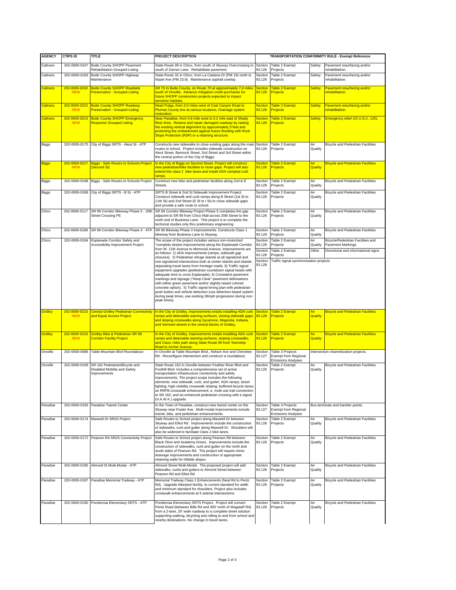| <b>AGENCY</b>      | <b>CTIPS ID</b>             | TITLE                                                                         | <b>PROJECT DESCRIPTION</b>                                                                                                                                                                                                                                                                                                                                                                                                                                                                                                                                                                                 | TRANSPORTATION CONFORMITY RULE - Exempt Reference |                                                                               |                |                                                          |
|--------------------|-----------------------------|-------------------------------------------------------------------------------|------------------------------------------------------------------------------------------------------------------------------------------------------------------------------------------------------------------------------------------------------------------------------------------------------------------------------------------------------------------------------------------------------------------------------------------------------------------------------------------------------------------------------------------------------------------------------------------------------------|---------------------------------------------------|-------------------------------------------------------------------------------|----------------|----------------------------------------------------------|
| Caltrans           | 202-0000-0167               | Butte County SHOPP Pavement<br>Rehabilitation Grouped Listing                 | State Route 99 in Chico, from south of Skyway Overcrossing to<br>south of Garner Lane. Rehabilitate pavement.                                                                                                                                                                                                                                                                                                                                                                                                                                                                                              | Section<br>93.126                                 | Table 2 Exempt<br>Proiects                                                    | Safety         | Pavement resurfacing and/or<br>rehabilitation.           |
| Caltrans           | 202-0000-0183               | Butte County SHOPP Highway<br>Maintenance                                     | State Route 32 in Chico, from La Castana Dr (PM 19) north to<br>Nopel Ave (PM 23.9). Maintenance asphalt overlay.                                                                                                                                                                                                                                                                                                                                                                                                                                                                                          | Section<br>93.126                                 | Table 2 Exempt<br>Projects                                                    | Safety         | Pavement resurfacing and/or<br>rehabilitation.           |
| <b>Caltrans</b>    | 202-0000-0202<br><b>NEW</b> | <b>Butte County SHOPP Roadside</b><br><b>Preservation - Grouped Listing</b>   | SR 70 In Butte County, on Route 70 at approximately 7.0 miles<br>south of Oroville. Advance mitigation credit purchases for<br>future SHOPP construction projects expected to impact<br>sensitive habitats.                                                                                                                                                                                                                                                                                                                                                                                                | <b>Section</b><br>93.126                          | <b>Table 2 Exempt</b><br><b>Projects</b>                                      | <b>Safety</b>  | Pavement resurfacing and/or<br>rehabilitation.           |
| <b>Caltrans</b>    | 202-0000-0222<br><b>NEW</b> | <b>Butte County SHOPP Roadway</b><br><b>Preservation - Grouped Listing</b>    | Nearl Pulga, from 3.0 miles west of Coal Canyon Road to<br>Plumas County line at various locations. Drainage system                                                                                                                                                                                                                                                                                                                                                                                                                                                                                        | <b>Section</b><br>93.126                          | <b>Table 2 Exempt</b><br><b>Projects</b>                                      | <b>Safety</b>  | Pavement resurfacing and/or<br>rehabilitation.           |
| <b>Caltrans</b>    | 202-0000-0213<br><b>NEW</b> | <b>Butte County SHOPP Emergency</b><br><b>Response Grouped Listing</b>        | estoration<br>Near Paradise, from 0.8 mile west to 0.2 mile east of Shady<br>Rest Area. Restore and repair damaged roadway by raising<br>the existing vertical alignment by approximately 5 feet and<br>protecting the embankment against future flooding with Rock<br>Slope Protection (RSP) or a retaining structure.                                                                                                                                                                                                                                                                                    | <b>Section</b><br>93.126                          | <b>Table 2 Exempt</b><br>Projects                                             | <b>Safety</b>  | Emergency relief (23 U.S.C. 125).                        |
| Biggs              | 202-0000-0175               | City of Biggs SRTS - Aleut St - ATP                                           | Constructs new sidewalks to close existing gaps along the main<br>routes to school. Project includes sidewalk construction on<br>Aleut Street, Bannock Street, 2nd Street and 3rd Street within<br>the central portion of the City of Biggs.                                                                                                                                                                                                                                                                                                                                                               | Section<br>93.126                                 | Table 2 Exempt<br>Projects                                                    | Air<br>Quality | <b>Bicycle and Pedestrian Facilities</b>                 |
| <mark>Biggs</mark> | 202-0000-0217<br><b>NEW</b> | <b>Biggs - Safe Routes to Schools Project</b><br>(Second St)                  | In the City of Biggs on Second Street. Project will construct<br>new pedestrian/bike facilities to close gaps. Project will also<br>extend the class 2 bike lanes and install ADA compliat curb                                                                                                                                                                                                                                                                                                                                                                                                            | <b>Section</b><br>93.126                          | <b>Table 2 Exempt</b><br><b>Projects</b>                                      | Air<br>Quality | <b>Bicycle and Pedestrian Facilities</b>                 |
| Biggs              | 202-0000-0198               | Biggs - Safe Routes to Schools Project                                        | amps.<br>Construct new bike and pedestrian facilities along 2nd & E<br><b>Streets</b>                                                                                                                                                                                                                                                                                                                                                                                                                                                                                                                      | Section<br>93.126                                 | Table 2 Exempt<br>Projects                                                    | Air<br>Quality | <b>Bicycle and Pedestrian Facilities</b>                 |
| Biggs              | 202-0000-0188               | City of Biggs SRTS - B St - ATP                                               | SRTS B Street & 2nd St Sidewalk Improvement Project.<br>Construct sidewalk and curb ramps along B Street (1st St to<br>11th St) and 2nd Street (E St to I St) to close sidewalk gaps<br>and provide a safe route to school.                                                                                                                                                                                                                                                                                                                                                                                | Section<br>93.126                                 | Table 2 Exempt<br>Projects                                                    | Air<br>Quality | <b>Bicycle and Pedestrian Facilities</b>                 |
| Chico              | 202-0000-0117               | SR 99 Corridor Bikeway Phase 5 - 20th<br><b>Street Crossing PE</b>            | SR 99 Corridor Bikeway Project Phase 5 completes the gap<br>adjacent to SR 99 from Chico Mall across 20th Street to the<br>north end of Business Lane. This project is to complete the<br>technical studies only thru preliminary engineering.                                                                                                                                                                                                                                                                                                                                                             | Section<br>93.126                                 | Table 2 Exempt<br>Projects                                                    | Air<br>Quality | <b>Bicycle and Pedestrian Facilities</b>                 |
| Chico              | 202-0000-0189               | SR 99 Corridor Bikeway Phase 4 - ATP                                          | SR 99 Bikeway Phase 4 Improvements. Constructs Class 1<br>bikeway from Business Lane to Skyway.                                                                                                                                                                                                                                                                                                                                                                                                                                                                                                            | Section<br>93.126                                 | Table 2 Exempt<br>Projects                                                    | Air<br>Quality | <b>Bicycle and Pedestrian Facilities</b>                 |
| Chico              | 202-0000-0194               | Esplanade Corridor Safety and<br>Accessibility Improvement Project            | The scope of the project includes various non-motorized                                                                                                                                                                                                                                                                                                                                                                                                                                                                                                                                                    | Section<br>93.126                                 | Table 2 Exempt<br>Projects                                                    | Air<br>Quality | Bicycle/Pedestrian Facilities and                        |
|                    |                             |                                                                               | complete streets improvements along the Esplanade Corridor<br>from W. 11th Avenue to Memorial Avenue, Improvements are<br>as follows: 1) ADA improvements (ramps, sidewalk gap                                                                                                                                                                                                                                                                                                                                                                                                                             | Section<br>93.126                                 | Table 2 Exempt<br>Projects                                                    | Other          | Pavement Markings<br>Directional and informational signs |
|                    |                             |                                                                               | non-signalized intersections both at center islands and islands<br>separating travel lanes from frontage roads; 3) Traffic signal<br>equipment upgrades (pedestrian countdown signal heads with<br>adequate time to cross Esplanade); 4) Consistent pavement<br>markings and signage ("Keep Clear" pavement delineations<br>with either green pavement and/or slightly raised colored<br>concrete option); 5) Traffic signal timing plan with pedestrian<br>push button and vehicle detection (use detection based system<br>during peak times, use existing 28mph progression during non-<br>peak times). | Section<br>93.128                                 | Traffic signal synchronization projects                                       |                |                                                          |
| <b>Gridley</b>     | 202-0000-0215<br><b>NEW</b> | <b>Central Gridley Pedestrian Connectivity</b><br>and Equal Access Project    | In the City of Gridley, improvements entails installing ADA curb Section<br>ramps and detectable warning surfaces, closing sidewalk gaps, 93.126<br>and striping crosswalks along Sycamore, Magnolia, Indiana,<br>and Vermont streets in the central blocks of Gridley.                                                                                                                                                                                                                                                                                                                                    |                                                   | <b>Table 2 Exempt</b><br><b>Projects</b>                                      | Air<br>Quality | <b>Bicycle and Pedestrian Facilities</b>                 |
| <b>Gridley</b>     | 202-0000-0216<br><b>NEW</b> | Gridley Bike & Pedestrian SR 99<br><b>Corridor Facility Project</b>           | In the City of Gridley, improvements entails installing ADA curb<br>ramps and detectable warning surfaces, striping crosswalks,<br>and Class I bike path along State Route 99 from Township<br>Road to Archer Avenue.                                                                                                                                                                                                                                                                                                                                                                                      | <b>Section</b><br>93.126                          | Table 2 Exempt<br>Projects                                                    | Air<br>Quality | <b>Bicycle and Pedestrian Facilities</b>                 |
| Oroville           | 202-0000-0086               | Table Mountain Blvd Roundabout                                                | In Oroville at Table Mountain Blvd., Nelson Ave and Cherokee<br>Rd - Reconfigure intersection and construct a roundabout.                                                                                                                                                                                                                                                                                                                                                                                                                                                                                  | Section<br>93.127                                 | Table 3 Projects<br><b>Exempt from Regional</b><br><b>Emissions Analyses</b>  |                | Intersection channelization projects.                    |
| Oroville           | 202-0000-0199               | SR 162 Pedestrian/Bicycle and<br>Disabled Mobility and Safety<br>Improvements | State Route 162 in Oroville between Feather River Blvd and<br>Foothill Blvd. Includes a comprehensive set of active<br>transportation infrastructure connectivity and safety<br>improvements. The project scope includes the following<br>elements: new sidewalk, curb, and gutter; ADA ramps; street<br>ighting; high-visibility crosswalk striping; buffered bicycle lanes;<br>an RRFB crosswalk enhancement; a multi-use trail connection<br>to SR 162; and an enhanced pedestrian crossing with a signal<br>(H.A.W.K.) upgrade.                                                                        | Section<br>93.126                                 | Table 2 Exempt<br>Projects                                                    | Air<br>Quality | <b>Bicycle and Pedestrian Facilities</b>                 |
| Paradise           |                             | 202-0000-0193 Paradise Transit Center                                         | In the Town of Paradise, construct new transit center on the<br>Skyway near Foster Ave. Multi-modal improvements include<br>transit, bike, and pedestrian enhancements.                                                                                                                                                                                                                                                                                                                                                                                                                                    | 93.127                                            | Section Table 3 Projects<br>Exempt from Regional<br><b>Emissions Analyses</b> |                | Bus terminals and transfer points.                       |
| Paradise           |                             | 202-0000-0174 Maxwell Dr SR2S Project                                         | Safe Routes to School project along Maxwell Dr between<br>Skyway and Elliot Rd. Improvements include the construction<br>of sidewalks, curb and gutter along Maxwell Dr. Shoulders will<br>also be widened to facilitate Class 2 bike lanes.                                                                                                                                                                                                                                                                                                                                                               | Section<br>93.126                                 | Table 2 Exempt<br>Projects                                                    | Air<br>Quality | <b>Bicycle and Pedestrian Facilities</b>                 |
| Paradise           | 202-0000-0172               | Pearson Rd SR2S Connectivity Project                                          | Safe Routes to School project along Pearson Rd between<br>Black Olive and Academy Drives. Improvements include the<br>construction of sidewalks, curb and gutter on the north and<br>south sides of Pearson Rd. The project will require minor<br>drainage improvements and construction of appropriate<br>retaining walls for hillside slopes.                                                                                                                                                                                                                                                            | Section<br>93.126                                 | Table 2 Exempt<br>Projects                                                    | Air<br>Quality | <b>Bicycle and Pedestrian Facilities</b>                 |
| Paradise           | 202-0000-0185               | Almond St Multi-Modal - ATP                                                   | Almond Street Multi-Modal. The proposed project will add<br>sidewalks, curbs and gutters to Almond Street between<br>Pearson Rd and Elliot Rd.                                                                                                                                                                                                                                                                                                                                                                                                                                                             | Section<br>93.126                                 | Table 2 Exempt<br>Projects                                                    | Air<br>Quality | <b>Bicycle and Pedestrian Facilities</b>                 |
| Paradise           | 202-0000-0187               | Paradise Memorial Trailway - ATP                                              | Memorial Trailway Class 1 Enhancements (Neal Rd to Pentz<br>Rd). Upgrade bike/ped facility, to current standard for width<br>and minimum standard for shoulders. Project also includes<br>crosswalk enhancements at 5 arterial intersections.                                                                                                                                                                                                                                                                                                                                                              | Section<br>93.126                                 | Table 2 Exempt<br>Projects                                                    | Air<br>Quality | <b>Bicycle and Pedestrian Facilities</b>                 |
| Paradise           | 202-0000-0190               | Ponderosa Elementary SRTS - ATP                                               | Ponderosa Elementary SRTS Project. Project will convert<br>Pentz Road (between Bille Rd and 300' north of Wagstaff Rd)<br>from a 2-lane, 20' wide roadway to a complete street solution<br>supporting walking, bicycling and rolling to and from school and<br>nearby destinations. No change in travel lanes.                                                                                                                                                                                                                                                                                             | Section<br>93.126                                 | Table 2 Exempt<br>Projects                                                    | Air<br>Quality | <b>Bicycle and Pedestrian Facilities</b>                 |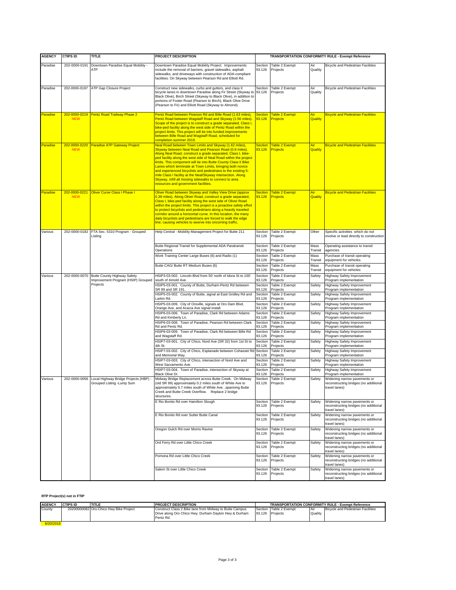| <b>AGENCY</b> | <b>CTIPS ID</b>             | TITLE                                                              | PROJECT DESCRIPTION                                                                                                                                                                                                                                                                                                                                                                                                                                                                                                                                                                                                       | TRANSPORTATION CONFORMITY RULE - Exempt Reference |                                          |                       |                                                                                        |
|---------------|-----------------------------|--------------------------------------------------------------------|---------------------------------------------------------------------------------------------------------------------------------------------------------------------------------------------------------------------------------------------------------------------------------------------------------------------------------------------------------------------------------------------------------------------------------------------------------------------------------------------------------------------------------------------------------------------------------------------------------------------------|---------------------------------------------------|------------------------------------------|-----------------------|----------------------------------------------------------------------------------------|
| Paradise      | 202-0000-0191               | Downtown Paradise Equal Mobility -                                 | Downtown Paradise Equal Mobility Project. Improvements                                                                                                                                                                                                                                                                                                                                                                                                                                                                                                                                                                    | Section                                           | Table 2 Exempt                           | Air                   | <b>Bicycle and Pedestrian Facilities</b>                                               |
|               |                             | ATP                                                                | include the removal of barriers, gravel sidewalks, asphalt<br>sidewalks, and driveways with construction of ADA-compliant<br>facilities. On Skyway between Pearson Rd and Elliott Rd.                                                                                                                                                                                                                                                                                                                                                                                                                                     | 93.126                                            | Projects                                 | Quality               |                                                                                        |
| Paradise      | 202-0000-0197               | ATP Gap Closure Project                                            | Construct new sidewalks, curbs and gutters, and class II<br>bicycle lanes in downtown Paradise along Fir Street (Skyway to<br>Black Olive), Birch Street (Skyway to Black Olive), in addition to<br>portions of Foster Road (Pearson to Birch), Black Olive Drive<br>(Pearson to Fir) and Elliott Road (Skyway to Almond).                                                                                                                                                                                                                                                                                                | Section<br>93.126                                 | Table 2 Exempt<br>Projects               | Air<br>Quality        | <b>Bicycle and Pedestrian Facilities</b>                                               |
| Paradise      | <b>NEW</b>                  | 202-0000-0219 Pentz Road Trailway Phase 2                          | Pentz Road between Pearson Rd and Bille Road (1.63 miles),<br>Pentz Road between Wagstaff Road and Skyway (1.56 miles).<br>Scope of the project is to construct a grade separated, Class I,<br>bike-ped facility along the west side of Pentz Road within the<br>project limits. This project will tie into funded improvements<br>between Bille Road and Wagstaff Road, scheduled for<br>completion summer 2019.                                                                                                                                                                                                         | <b>Section</b><br>93.126                          | <b>Table 2 Exempt</b><br><b>Projects</b> | <u>Air</u><br>Quality | <b>Bicycle and Pedestrian Facilities</b>                                               |
| Paradise      | 202-0000-0220<br><b>NEW</b> | <b>Paradise ATP Gateway Project</b>                                | Neal Road between Town Limits and Skyway (1.62 miles),<br>Skyway between Neal Road and Pearson Road (0.9 miles).<br>Along Neal Road, construct a grade separated, Class I, bike-<br>ped facility along the west side of Neal Road within the project<br>limits. This component will tie into Butte County Class II Bike<br>Lanes which terminate at Town Limits, bringing both novice<br>and experienced bicyclists and pedestrians to the existing 5-<br>mile Class I facility at the Neal/Skyway intersection. Along<br>Skyway, infill all missing sidewalks to connect to area<br>resources and government facilities. | <b>Section</b><br>93.126                          | <b>Table 2 Exempt</b><br>Projects        | Air<br>Quality        | <b>Bicycle and Pedestrian Facilities</b>                                               |
| Paradise      | 202-0000-0221<br><b>NEW</b> | Oliver Curve Class I Phase I                                       | Oliver Road between Skyway and Valley View Drive (approx<br>0.39 miles). Along Oliver Road, construct a grade separated,<br>Class I, bike-ped facility along the west side of Oliver Road<br>within the project limits. This project is a proactive safety effort<br>to protect bicyclists and pedestrians along a heavily traveled<br>corridor around a horizontal curve. In this location, the many<br>daily bicyclists and pedestrians are forced to walk the edge<br>line, causing vehicles to swerve into oncoming traffic.                                                                                          | <b>Section</b><br>93.126                          | <b>Table 2 Exempt</b><br>Projects        | Air<br>Quality        | <b>Bicycle and Pedestrian Facilities</b>                                               |
| Various       |                             | 202-0000-0182 FTA Sec. 5310 Program - Grouped<br>Listing           | Help Central - Mobility Management Project for Butte 211                                                                                                                                                                                                                                                                                                                                                                                                                                                                                                                                                                  | Section<br>93.126                                 | Table 2 Exempt<br>Projects               | Other                 | Specific activities which do not<br>involve or lead directly to construction           |
|               |                             |                                                                    | Butte Regional Transit for Supplemental ADA Paratransit<br>Operations                                                                                                                                                                                                                                                                                                                                                                                                                                                                                                                                                     | Section<br>93.126                                 | Table 2 Exempt<br>Projects               | Mass<br>Transit       | Operating assistance to transit<br>agencies                                            |
|               |                             |                                                                    | Work Training Center Large Buses (6) and Radio (1)                                                                                                                                                                                                                                                                                                                                                                                                                                                                                                                                                                        | Section<br>93.126                                 | Table 2 Exempt<br>Projects               | Mass<br>Transit       | Purchase of transit operating<br>equipment for vehicles                                |
|               |                             |                                                                    | Butte CAG/ Butte RT Medium Buses (6)                                                                                                                                                                                                                                                                                                                                                                                                                                                                                                                                                                                      | Section<br>93.126                                 | Table 2 Exempt<br>Projects               | Mass<br>Transit       | Purchase of transit operating<br>equipment for vehicles                                |
| Various       | 202-0000-0070               | Butte County Highway Safety                                        | HSIP3-03-002. Lincoln Blvd from 50' north of Idora St to 100'                                                                                                                                                                                                                                                                                                                                                                                                                                                                                                                                                             | Section                                           | Table 2 Exempt                           | Safety                | <b>Highway Safety Improvement</b>                                                      |
|               |                             | Improvement Program (HSIP) Grouped<br>Projects                     | south of Arnold Ave.<br>HSIP5-03-001. County of Butte, Durham-Pentz Rd between                                                                                                                                                                                                                                                                                                                                                                                                                                                                                                                                            | 93.126<br>Section                                 | Projects<br>Table 2 Exempt               | Safety                | Program implementation<br>Highway Safety Improvement                                   |
|               |                             |                                                                    | SR 99 and SR 191.<br>HSIP5-03-002. County of Butte, signal at East Gridley Rd and                                                                                                                                                                                                                                                                                                                                                                                                                                                                                                                                         | 93.126<br>Section                                 | Projects<br>Table 2 Exempt               | Safety                | Program implementation<br>Highway Safety Improvement                                   |
|               |                             |                                                                    | Larkin Rd.<br>HSIP5-03-009. City of Oroville, signals at Oro Dam Blvd,                                                                                                                                                                                                                                                                                                                                                                                                                                                                                                                                                    | 93.126<br>Section                                 | Projects<br>Table 2 Exempt               | Safety                | Program implementation<br>Highway Safety Improvement                                   |
|               |                             |                                                                    | Orange Ave, and Acacia Ave signal install.<br>HSIP6-03-006. Town of Paradise, Clark Rd between Adams                                                                                                                                                                                                                                                                                                                                                                                                                                                                                                                      | 93.126<br>Section                                 | Projects<br>Table 2 Exempt               | Safety                | Program implementation<br>Highway Safety Improvement                                   |
|               |                             |                                                                    | Rd and Kimberly Ln.<br>HSIP6-03-008. Town of Paradise, Pearson Rd between Clark                                                                                                                                                                                                                                                                                                                                                                                                                                                                                                                                           | 93.126<br>Section                                 | Projects<br>Table 2 Exempt               | Safety                | Program implementation<br>Highway Safety Improvement                                   |
|               |                             |                                                                    | Rd and Pentz Rd.<br>HSIP6-03-009. Town of Paradise, Clark Rd between Bille Rd                                                                                                                                                                                                                                                                                                                                                                                                                                                                                                                                             | 93.126<br>Section                                 | Projects<br>Table 2 Exempt               | Safety                | Program implementation<br>Highway Safety Improvement                                   |
|               |                             |                                                                    | and Wagstaff Rd.<br>HSIP7-03-001. City of Chico, Nord Ave (SR 32) from 1st St to                                                                                                                                                                                                                                                                                                                                                                                                                                                                                                                                          | 93.126<br>Section                                 | Projects<br>Table 2 Exempt               | Safety                | Program implementation<br>Highway Safety Improvement                                   |
|               |                             |                                                                    | 4th St.<br>HSIP7-03-002. City of Chico, Esplanade between Cohasset Ro                                                                                                                                                                                                                                                                                                                                                                                                                                                                                                                                                     | 93.126<br>Section                                 | Projects<br>Table 2 Exempt               |                       | Program implementation<br>Highway Safety Improvement                                   |
|               |                             |                                                                    | and Memorial Way.<br>HSIP7-03-003. City of Chico, intersection of Nord Ave and                                                                                                                                                                                                                                                                                                                                                                                                                                                                                                                                            | 93.126                                            | Projects                                 | Safety                | Program implementation                                                                 |
|               |                             |                                                                    | West Sacramento Ave.                                                                                                                                                                                                                                                                                                                                                                                                                                                                                                                                                                                                      | Section<br>93.126                                 | Table 2 Exempt<br>Projects               | Safety                | Highway Safety Improvement<br>Program implementation                                   |
|               |                             |                                                                    | HSIP7-03-004. Town of Paradise, intersection of Skyway at<br><b>Black Olive Dr.</b>                                                                                                                                                                                                                                                                                                                                                                                                                                                                                                                                       | Section<br>93.126                                 | Table 2 Exempt<br>Projects               | Safety                | Highway Safety Improvement<br>Program implementation                                   |
| Various       | 202-0000-0056               | Local Highway Bridge Projects (HBP) -<br>Grouped Listing -Lump Sum | Midway Bridge Replacement across Butte Creek. On Midway<br>(old SR 99) approximately 0.2 miles south of White Ave to<br>approximately 0.7 miles south of White Ave. ,spanning Butte<br>Creek and Butte Creek Overflow. Replace 2 bridge<br>structures.                                                                                                                                                                                                                                                                                                                                                                    | Section<br>93.126                                 | Table 2 Exempt<br>Projects               | Safety                | Widening narrow pavements or<br>reconstructing bridges (no additional<br>travel lanes  |
|               |                             |                                                                    | E Rio Bonito Rd over Hamilton Slough                                                                                                                                                                                                                                                                                                                                                                                                                                                                                                                                                                                      | Section<br>93.126                                 | Table 2 Exempt<br>Projects               | Safety                | Widening narrow pavements or<br>reconstructing bridges (no additional<br>travel lanes) |
|               |                             |                                                                    | E Rio Bonito Rd over Sutter Butte Canal                                                                                                                                                                                                                                                                                                                                                                                                                                                                                                                                                                                   | Section<br>93.126                                 | Table 2 Exempt<br>Projects               | Safety                | Widening narrow pavements or<br>reconstructing bridges (no additional<br>travel lanes) |
|               |                             |                                                                    | Oregon Gulch Rd over Morris Ravine                                                                                                                                                                                                                                                                                                                                                                                                                                                                                                                                                                                        | Section<br>93.126                                 | Table 2 Exempt<br>Projects               | Safety                | Widening narrow pavements or<br>reconstructing bridges (no additional<br>travel lanes) |
|               |                             |                                                                    | Ord Ferry Rd over Little Chico Creek                                                                                                                                                                                                                                                                                                                                                                                                                                                                                                                                                                                      | Section<br>93.126                                 | Table 2 Exempt<br>Projects               | Safety                | Widening narrow pavements or<br>reconstructing bridges (no additional<br>travel lanes) |
|               |                             |                                                                    | Pomona Rd over Little Chico Creek                                                                                                                                                                                                                                                                                                                                                                                                                                                                                                                                                                                         | Section<br>93.126                                 | Table 2 Exempt<br>Projects               | Safety                | Widening narrow pavements or<br>reconstructing bridges (no additional<br>travel lanes) |
|               |                             |                                                                    | Salem St over Little Chico Creek                                                                                                                                                                                                                                                                                                                                                                                                                                                                                                                                                                                          | Section<br>93.126                                 | Table 2 Exempt<br>Projects               | Safety                | Widening narrow pavements or<br>reconstructing bridges (no additional<br>travel lanes) |

#### **RTP Project(s) not in FTIP**

| <b>AGENCY</b> | <b>CTIPS ID</b> | <b>TITLE</b>                           | <b>PROJECT DESCRIPTION</b>                                                                                                    | <b>TRANSPORTATION CONFORMITY RULE - Exempt Reference</b> |                                           |                       |                                          |
|---------------|-----------------|----------------------------------------|-------------------------------------------------------------------------------------------------------------------------------|----------------------------------------------------------|-------------------------------------------|-----------------------|------------------------------------------|
| County        |                 | 20200000082 Oro-Chico Hwy Bike Project | Construct Class 2 Bike lane from Midway to Butte Campus<br>Drive along Oro Chico Hwy, Durham Dayton Hwy & Durham<br>Pentz Rd. |                                                          | Section Table 2 Exempt<br>93.126 Projects | <b>Air</b><br>Quality | <b>Bicycle and Pedestrian Facilities</b> |
| 8/20/2018     |                 |                                        |                                                                                                                               |                                                          |                                           |                       |                                          |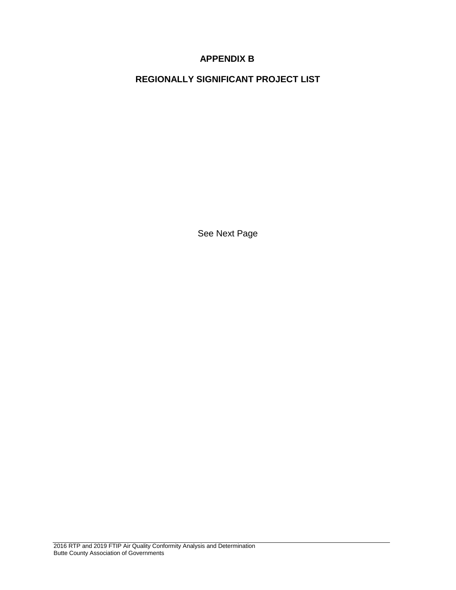## **APPENDIX B**

**REGIONALLY SIGNIFICANT PROJECT LIST**

See Next Page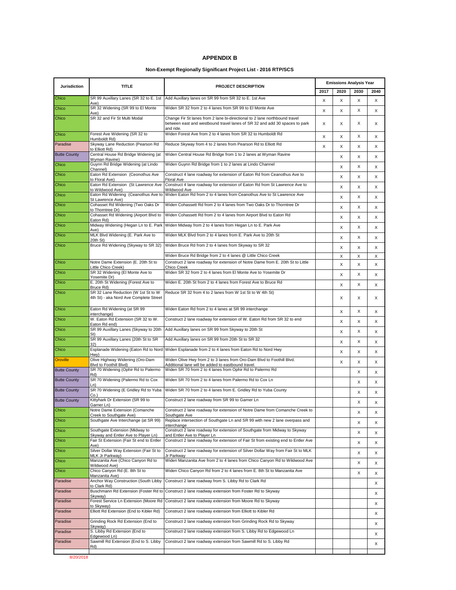#### **APPENDIX B**

#### **Non-Exempt Regionally Significant Project List - 2016 RTP/SCS**

| <b>Jurisdiction</b> | <b>TITLE</b>                                                                    | PROJECT DESCRIPTION                                                                                                                                                   | <b>Emissions Analysis Year</b> |      |      |      |  |
|---------------------|---------------------------------------------------------------------------------|-----------------------------------------------------------------------------------------------------------------------------------------------------------------------|--------------------------------|------|------|------|--|
|                     |                                                                                 |                                                                                                                                                                       | 2017                           | 2020 | 2030 | 2040 |  |
| Chico               | SR 99 Auxillary Lanes (SR 32 to E. 1st<br>Ave)                                  | Add Auxillary lanes on SR 99 from SR 32 to E. 1st Ave                                                                                                                 | X                              | X    | X    | X    |  |
| Chico               | SR 32 Widening (SR 99 to El Monte<br>Ave)                                       | Widen SR 32 from 2 to 4 lanes from SR 99 to El Monte Ave                                                                                                              | X                              | X    | X    | X    |  |
| Chico               | SR 32 and Fir St Multi Modal                                                    | Change Fir St lanes from 2 lane bi-directional to 2 lane northbound travel<br>between east and westbound travel lanes of SR 32 and add 30 spaces to park<br>and ride. | X                              | X    | X    | X    |  |
| Chico               | Forest Ave Widening (SR 32 to<br>Humboldt Rd)                                   | Widen Forest Ave from 2 to 4 lanes from SR 32 to Humboldt Rd                                                                                                          | X                              | X    | X    | X    |  |
| Paradise            | Skyway Lane Reduction (Pearson Rd<br>to Elliott Rd)                             | Reduce Skyway from 4 to 2 lanes from Pearson Rd to Elliott Rd                                                                                                         | X                              | X    | X    | X    |  |
| <b>Butte County</b> | Central House Rd Bridge Widening (at<br>Wyman Ravine)                           | Widen Central House Rd Bridge from 1 to 2 lanes at Wyman Ravine                                                                                                       |                                | X    | X    | X    |  |
| Chico               | Guynn Rd Bridge Widening (at Lindo<br>Channel)                                  | Widen Guynn Rd Bridge from 1 to 2 lanes at Lindo Channel                                                                                                              |                                | X    | X    | X    |  |
| Chico               | Eaton Rd Extension (Ceonothus Ave<br>to Floral Ave)                             | Construct 4 lane roadway for extension of Eaton Rd from Ceanothus Ave to<br><b>Floral Ave</b>                                                                         |                                | X    | X    | X    |  |
| Chico               | Eaton Rd Extension (St Lawrence Ave<br>to Wildwood Ave)                         | Construct 4 lane roadway for extension of Eaton Rd from St Lawrence Ave to<br>Wildwood Ave                                                                            |                                | X    | X    | X    |  |
| Chico               | Eaton Rd Widening (Ceanothus Ave to<br>St Lawrence Ave)                         | Widen Eaton Rd from 2 to 4 lanes from Ceanothus Ave to St Lawrence Ave                                                                                                |                                | X    | X    | X    |  |
| Chico               | Cohasset Rd Widening (Two Oaks Dr                                               | Widen Cohassett Rd from 2 to 4 lanes from Two Oaks Dr to Thorntree Dr                                                                                                 |                                | X    | X    | X    |  |
| Chico               | to Thorntree Dr)<br>Cohasset Rd Widening (Airport Blvd to                       | Widen Cohassett Rd from 2 to 4 lanes from Airport Blvd to Eaton Rd                                                                                                    |                                | X    | X    | X    |  |
| Chico               | Eaton Rd)<br>Midway Widening (Hegan Ln to E. Park                               | Widen Midway from 2 to 4 lanes from Hegan Ln to E. Park Ave                                                                                                           |                                | X    | X    | X    |  |
| Chico               | Ave)<br>MLK Blvd Widening (E. Park Ave to                                       | Widen MLK Blvd from 2 to 4 lanes from E. Park Ave to 20th St                                                                                                          |                                | X    | X    | X    |  |
| Chico               | 20th St)<br>Bruce Rd Widening (Skyway to SR 32)                                 | Widen Bruce Rd from 2 to 4 lanes from Skyway to SR 32                                                                                                                 |                                | X    | X    | X    |  |
|                     |                                                                                 | Widen Bruce Rd Bridge from 2 to 4 lanes @ Little Chico Creek                                                                                                          |                                | X    | X    | X    |  |
| Chico               | Notre Dame Extension (E. 20th St to<br>Little Chico Creek)                      | Construct 2 lane roadway for extension of Notre Dame from E. 20th St to Little<br><b>Chico Creek</b>                                                                  |                                | Χ    | X    | X    |  |
| Chico               | SR 32 Widening (El Monte Ave to<br>Yosemite Dr)                                 | Widen SR 32 from 2 to 4 lanes from El Monte Ave to Yosemite Dr                                                                                                        |                                | X    | X    | X    |  |
| Chico               | E. 20th St Widening (Forest Ave to<br>Bruce Rd)                                 | Widen E. 20th St from 2 to 4 lanes from Forest Ave to Bruce Rd                                                                                                        |                                | X    | X    | X    |  |
| Chico               | SR 32 Lane Reduction (W 1st St to W<br>4th St) - aka Nord Ave Complete Street   | Reduce SR 32 from 4 to 2 lanes from W 1st St to W 4th St)                                                                                                             |                                | X    | X    | X    |  |
| Chico               | Eaton Rd Widening (at SR 99<br>interchange)                                     | Widen Eaton Rd from 2 to 4 lanes at SR 99 interchange                                                                                                                 |                                | X    | X    | X    |  |
| Chico               | W. Eaton Rd Extension (SR 32 to W.<br>Eaton Rd end)                             | Construct 2 lane roadway for extension of W. Eaton Rd from SR 32 to end                                                                                               |                                | X    | X    | X    |  |
| Chico               | SR 99 Auxillary Lanes (Skyway to 20th<br>St)                                    | Add Auxillary lanes on SR 99 from Skyway to 20th St                                                                                                                   |                                | X    | X    | X    |  |
| Chico               | SR 99 Auxillary Lanes (20th St to SR                                            | Add Auxillary lanes on SR 99 from 20th St to SR 32                                                                                                                    |                                | X    | X    | X    |  |
| Chico               | 32)<br>Esplanade Widening (Eaton Rd to Nord                                     | Widen Esplanade from 2 to 4 lanes from Eaton Rd to Nord Hwy                                                                                                           |                                | X    | X    | X    |  |
| <b>Oroville</b>     | Hwv)<br>Olive Highway Widening (Oro-Dam                                         | Widen Olive Hwy from 2 to 3 lanes from Oro-Dam Blvd to Foothill Blvd.                                                                                                 |                                | X    | X    | X    |  |
| <b>Butte County</b> | Blvd to Foothill Blvd)<br>SR 70 Widening (Ophir Rd to Palermo                   | Additional lane will be added to eastbound travel.<br>Widen SR 70 from 2 to 4 lanes from Ophir Rd to Palermo Rd                                                       |                                |      | X    | X    |  |
| <b>Butte County</b> | Rd)<br>SR 70 Widening (Palermo Rd to Cox                                        | Widen SR 70 from 2 to 4 lanes from Palermo Rd to Cox Ln                                                                                                               |                                |      | Χ    | X    |  |
| <b>Butte County</b> | Ln)<br>SR 70 Widening (E Gridley Rd to Yuba                                     | Widen SR 70 from 2 to 4 lanes from E. Gridley Rd to Yuba County                                                                                                       |                                |      | X    | X    |  |
| <b>Butte County</b> | Co.<br>Kittyhark Dr Extension (SR 99 to                                         | Construct 2 lane roadway from SR 99 to Garner Ln                                                                                                                      |                                |      | X    | X    |  |
| Chico               | Garner Ln)<br>Notre Dame Extension (Comanche                                    | Construct 2 lane roadway for extension of Notre Dame from Comanche Creek to                                                                                           |                                |      | х    | X    |  |
| Chico               | Creek to Southgate Ave)<br>Southgate Ave Interchange (at SR 99)                 | Southgate Ave<br>Replace intersection of Southgate Ln and SR 99 with new 2 lane overpass and                                                                          |                                |      | х    | X    |  |
| Chico               | Southgate Extension (Midway to                                                  | interchange<br>Construct 2 lane roadway for extension of Southgate from Midway to Skyway                                                                              |                                |      |      |      |  |
| Chico               | Skyway and Entler Ave to Player Ln)<br>Fair St Extension (Fair St end to Entler | and Entler Ave to Player Ln<br>Construct 2 lane roadway for extension of Fair St from existing end to Entler Ave                                                      |                                |      | X    | X    |  |
| Chico               | Ave)<br>Silver Dollar Way Extension (Fair St to                                 | Construct 2 lane roadway for extension of Silver Dollar Way from Fair St to MLK                                                                                       |                                |      | Х    | X    |  |
| Chico               | MLK Jr Parkway)<br>Manzanita Ave (Chico Canyon Rd to                            | Jr Parkway<br>Widen Manzanita Ave from 2 to 4 lanes from Chico Canyon Rd to Wildwood Ave                                                                              |                                |      | X    | X    |  |
| Chico               | Wildwood Ave)<br>Chico Canyon Rd (E. 8th St to                                  | Widen Chico Canyon Rd from 2 to 4 lanes from E. 8th St to Manzanita Ave                                                                                               |                                |      | X    | X    |  |
|                     | Manzanita Ave)                                                                  |                                                                                                                                                                       |                                |      | Х    | X    |  |
| Paradise            | Anchor Way Construction (South Libby<br>to Clark Rd)                            | Construct 2 lane roadway from S. Libby Rd to Clark Rd                                                                                                                 |                                |      |      | Х    |  |
| Paradise            | Buschmann Rd Extension (Foster Rd to<br>Skyway)                                 | Construct 2 lane roadway extension from Foster Rd to Skyway                                                                                                           |                                |      |      | Х    |  |
| Paradise            | Forest Service Ln Extension (Moore Rd<br>to Skvwav)                             | Construct 2 lane roadway extension from Moore Rd to Skyway                                                                                                            |                                |      |      | Х    |  |
| Paradise            | Elliott Rd Extension (End to Kibler Rd)                                         | Construct 2 lane roadway extension from Elliott to Kibler Rd                                                                                                          |                                |      |      | Х    |  |
| Paradise            | Grinding Rock Rd Extension (End to<br>Skvwav)                                   | Construct 2 lane roadway extension from Grinding Rock Rd to Skyway                                                                                                    |                                |      |      | Х    |  |
| Paradise            | S. Libby Rd Extension (End to<br>Edgewood Ln)                                   | Construct 2 lane roadway extension from S. Libby Rd to Edgewood Ln                                                                                                    |                                |      |      | Х    |  |
| Paradise            | Sawmill Rd Extension (End to S. Libby<br>Rd)                                    | Construct 2 lane roadway extension from Sawmill Rd to S. Libby Rd                                                                                                     |                                |      |      | X    |  |
|                     |                                                                                 |                                                                                                                                                                       |                                |      |      |      |  |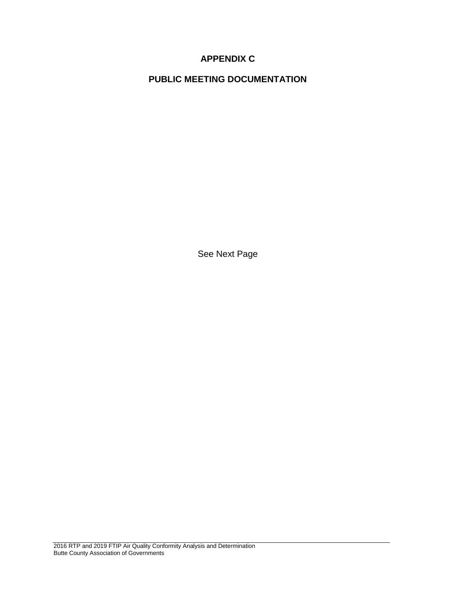# **APPENDIX C**

**PUBLIC MEETING DOCUMENTATION**

See Next Page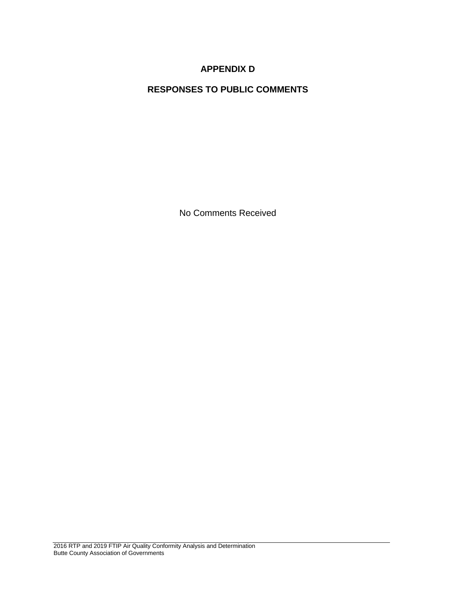# **APPENDIX D**

# **RESPONSES TO PUBLIC COMMENTS**

No Comments Received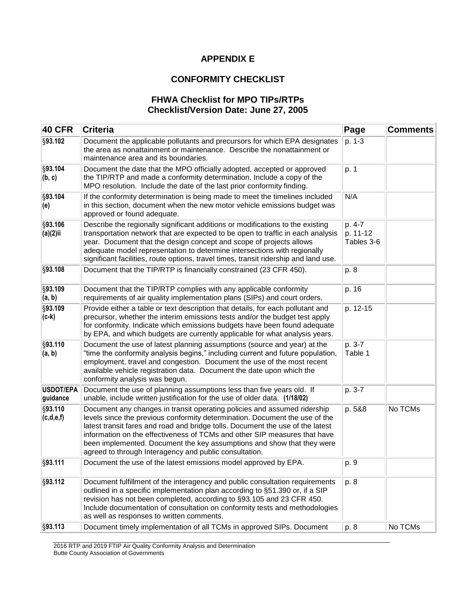### **APPENDIX E**

# **CONFORMITY CHECKLIST**

### **FHWA Checklist for MPO TIPs/RTPs Checklist/Version Date: June 27, 2005**

| <b>40 CFR</b>                | <b>Criteria</b>                                                                                                                                                                                                                                                                                                                                                                                                                                            | Page                             | <b>Comments</b> |  |
|------------------------------|------------------------------------------------------------------------------------------------------------------------------------------------------------------------------------------------------------------------------------------------------------------------------------------------------------------------------------------------------------------------------------------------------------------------------------------------------------|----------------------------------|-----------------|--|
| §93.102                      | Document the applicable pollutants and precursors for which EPA designates<br>the area as nonattainment or maintenance. Describe the nonattainment or<br>maintenance area and its boundaries.                                                                                                                                                                                                                                                              | p. 1-3                           |                 |  |
| §93.104<br>(b, c)            | Document the date that the MPO officially adopted, accepted or approved<br>the TIP/RTP and made a conformity determination. Include a copy of the<br>MPO resolution. Include the date of the last prior conformity finding.                                                                                                                                                                                                                                | p. 1                             |                 |  |
| §93.104<br>(e)               | If the conformity determination is being made to meet the timelines included<br>in this section, document when the new motor vehicle emissions budget was<br>approved or found adequate.                                                                                                                                                                                                                                                                   | N/A                              |                 |  |
| §93.106<br>(a)(2)ii          | Describe the regionally significant additions or modifications to the existing<br>transportation network that are expected to be open to traffic in each analysis<br>year. Document that the design concept and scope of projects allows<br>adequate model representation to determine intersections with regionally<br>significant facilities, route options, travel times, transit ridership and land use.                                               | p. 4-7<br>p. 11-12<br>Tables 3-6 |                 |  |
| §93.108                      | Document that the TIP/RTP is financially constrained (23 CFR 450).                                                                                                                                                                                                                                                                                                                                                                                         | p. 8                             |                 |  |
| §93.109<br>(a, b)            | Document that the TIP/RTP complies with any applicable conformity<br>requirements of air quality implementation plans (SIPs) and court orders.                                                                                                                                                                                                                                                                                                             | p. 16                            |                 |  |
| §93.109<br>(c-k)             | Provide either a table or text description that details, for each pollutant and<br>precursor, whether the interim emissions tests and/or the budget test apply<br>for conformity. Indicate which emissions budgets have been found adequate<br>by EPA, and which budgets are currently applicable for what analysis years.                                                                                                                                 | p. 12-15                         |                 |  |
| §93.110<br>(a, b)            | Document the use of latest planning assumptions (source and year) at the<br>"time the conformity analysis begins," including current and future population,<br>employment, travel and congestion. Document the use of the most recent<br>available vehicle registration data. Document the date upon which the<br>conformity analysis was begun.                                                                                                           | p. 3-7<br>Table 1                |                 |  |
| <b>USDOT/EPA</b><br>guidance | Document the use of planning assumptions less than five years old. If<br>unable, include written justification for the use of older data. (1/18/02)                                                                                                                                                                                                                                                                                                        | p. 3-7                           |                 |  |
| §93.110<br>(c,d,e,f)         | Document any changes in transit operating policies and assumed ridership<br>levels since the previous conformity determination. Document the use of the<br>latest transit fares and road and bridge tolls. Document the use of the latest<br>information on the effectiveness of TCMs and other SIP measures that have<br>been implemented. Document the key assumptions and show that they were<br>agreed to through Interagency and public consultation. | p. 5&8                           | No TCMs         |  |
| §93.111                      | Document the use of the latest emissions model approved by EPA.                                                                                                                                                                                                                                                                                                                                                                                            | p. 9                             |                 |  |
| §93.112                      | Document fulfillment of the interagency and public consultation requirements<br>outlined in a specific implementation plan according to §51.390 or, if a SIP<br>revision has not been completed, according to §93.105 and 23 CFR 450.<br>Include documentation of consultation on conformity tests and methodologies<br>as well as responses to written comments.                                                                                          | p. 8                             |                 |  |
| §93.113                      | Document timely implementation of all TCMs in approved SIPs. Document                                                                                                                                                                                                                                                                                                                                                                                      | p. 8                             | No TCMs         |  |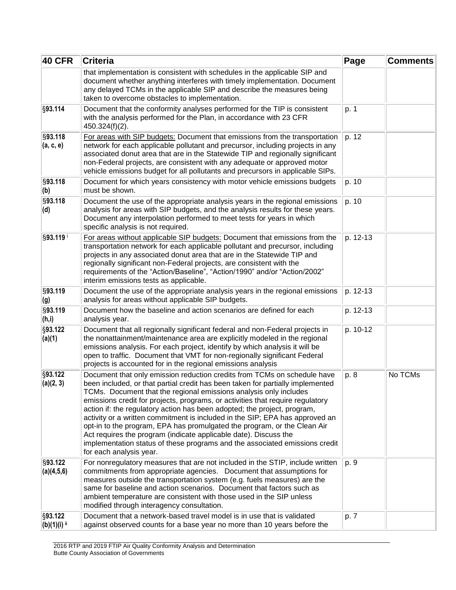| <b>40 CFR</b>                       | <b>Criteria</b>                                                                                                                                                                                                                                                                                                                                                                                                                                                                                                                                                                                                                                                                                                                         | Page     | <b>Comments</b> |
|-------------------------------------|-----------------------------------------------------------------------------------------------------------------------------------------------------------------------------------------------------------------------------------------------------------------------------------------------------------------------------------------------------------------------------------------------------------------------------------------------------------------------------------------------------------------------------------------------------------------------------------------------------------------------------------------------------------------------------------------------------------------------------------------|----------|-----------------|
|                                     | that implementation is consistent with schedules in the applicable SIP and<br>document whether anything interferes with timely implementation. Document<br>any delayed TCMs in the applicable SIP and describe the measures being<br>taken to overcome obstacles to implementation.                                                                                                                                                                                                                                                                                                                                                                                                                                                     |          |                 |
| §93.114                             | Document that the conformity analyses performed for the TIP is consistent<br>with the analysis performed for the Plan, in accordance with 23 CFR<br>450.324(f)(2).                                                                                                                                                                                                                                                                                                                                                                                                                                                                                                                                                                      | p. 1     |                 |
| §93.118<br>(a, c, e)                | For areas with SIP budgets: Document that emissions from the transportation<br>network for each applicable pollutant and precursor, including projects in any<br>associated donut area that are in the Statewide TIP and regionally significant<br>non-Federal projects, are consistent with any adequate or approved motor<br>vehicle emissions budget for all pollutants and precursors in applicable SIPs.                                                                                                                                                                                                                                                                                                                           | p. 12    |                 |
| §93.118<br>(b)                      | Document for which years consistency with motor vehicle emissions budgets<br>must be shown.                                                                                                                                                                                                                                                                                                                                                                                                                                                                                                                                                                                                                                             | p. 10    |                 |
| §93.118<br>(d)                      | Document the use of the appropriate analysis years in the regional emissions<br>analysis for areas with SIP budgets, and the analysis results for these years.<br>Document any interpolation performed to meet tests for years in which<br>specific analysis is not required.                                                                                                                                                                                                                                                                                                                                                                                                                                                           | p. 10    |                 |
| §93.119                             | For areas without applicable SIP budgets: Document that emissions from the<br>transportation network for each applicable pollutant and precursor, including<br>projects in any associated donut area that are in the Statewide TIP and<br>regionally significant non-Federal projects, are consistent with the<br>requirements of the "Action/Baseline", "Action/1990" and/or "Action/2002"<br>interim emissions tests as applicable.                                                                                                                                                                                                                                                                                                   | p. 12-13 |                 |
| §93.119<br>(g)                      | Document the use of the appropriate analysis years in the regional emissions<br>analysis for areas without applicable SIP budgets.                                                                                                                                                                                                                                                                                                                                                                                                                                                                                                                                                                                                      | p. 12-13 |                 |
| §93.119<br>(h,i)                    | Document how the baseline and action scenarios are defined for each<br>analysis year.                                                                                                                                                                                                                                                                                                                                                                                                                                                                                                                                                                                                                                                   | p. 12-13 |                 |
| §93.122<br>(a)(1)                   | Document that all regionally significant federal and non-Federal projects in<br>the nonattainment/maintenance area are explicitly modeled in the regional<br>emissions analysis. For each project, identify by which analysis it will be<br>open to traffic. Document that VMT for non-regionally significant Federal<br>projects is accounted for in the regional emissions analysis                                                                                                                                                                                                                                                                                                                                                   | p. 10-12 |                 |
| §93.122<br>(a)(2, 3)                | Document that only emission reduction credits from TCMs on schedule have<br>been included, or that partial credit has been taken for partially implemented<br>TCMs. Document that the regional emissions analysis only includes<br>emissions credit for projects, programs, or activities that require regulatory<br>action if: the regulatory action has been adopted; the project, program,<br>activity or a written commitment is included in the SIP; EPA has approved an<br>opt-in to the program, EPA has promulgated the program, or the Clean Air<br>Act requires the program (indicate applicable date). Discuss the<br>implementation status of these programs and the associated emissions credit<br>for each analysis year. | p. 8     | No TCMs         |
| §93.122<br>(a)(4,5,6)               | For nonregulatory measures that are not included in the STIP, include written<br>commitments from appropriate agencies. Document that assumptions for<br>measures outside the transportation system (e.g. fuels measures) are the<br>same for baseline and action scenarios. Document that factors such as<br>ambient temperature are consistent with those used in the SIP unless<br>modified through interagency consultation.                                                                                                                                                                                                                                                                                                        | p. 9     |                 |
| §93.122<br> (b)(1)(i) <sup>ii</sup> | Document that a network-based travel model is in use that is validated<br>against observed counts for a base year no more than 10 years before the                                                                                                                                                                                                                                                                                                                                                                                                                                                                                                                                                                                      | p. 7     |                 |